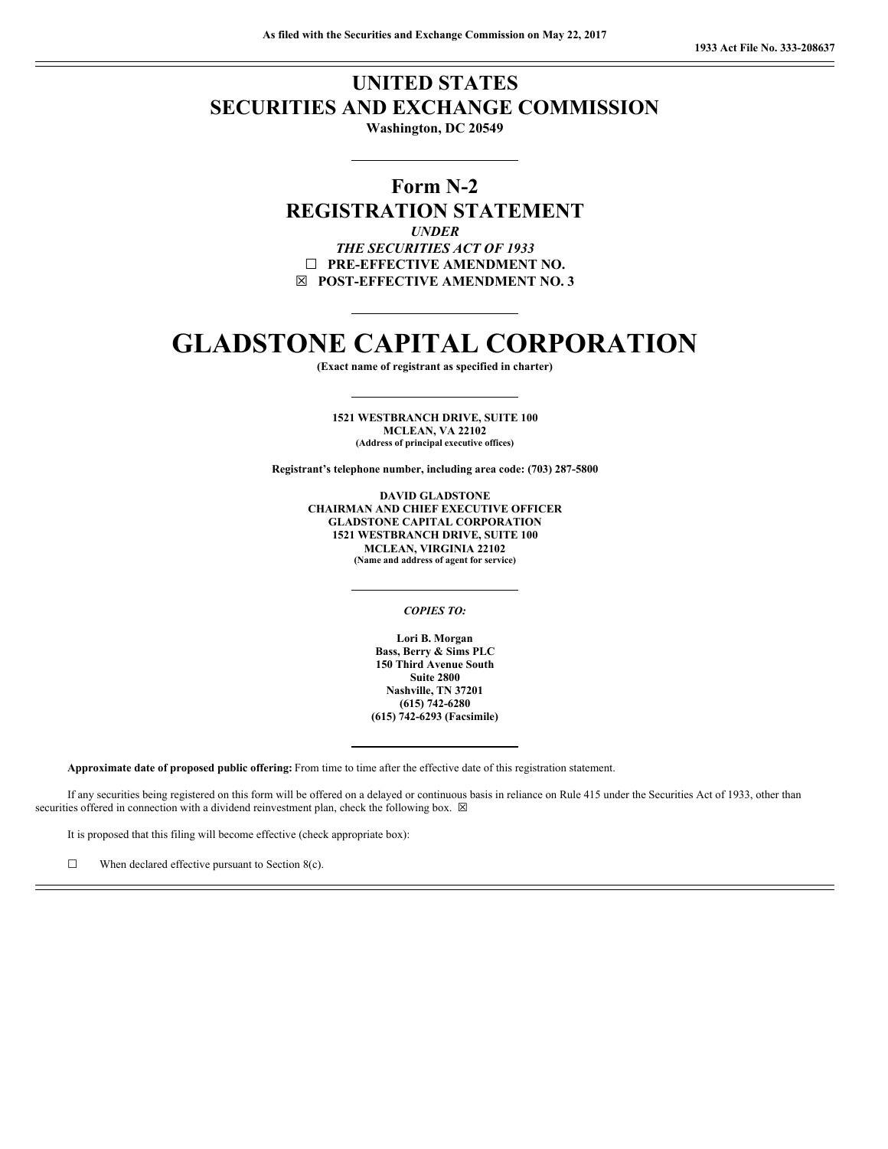# **UNITED STATES SECURITIES AND EXCHANGE COMMISSION**

**Washington, DC 20549**

## **Form N-2 REGISTRATION STATEMENT**

*UNDER THE SECURITIES ACT OF 1933* ☐ **PRE-EFFECTIVE AMENDMENT NO.** ☒ **POST-EFFECTIVE AMENDMENT NO. 3**

# **GLADSTONE CAPITAL CORPORATION**

**(Exact name of registrant as specified in charter)**

**1521 WESTBRANCH DRIVE, SUITE 100 MCLEAN, VA 22102 (Address of principal executive offices)**

**Registrant's telephone number, including area code: (703) 287-5800**

**DAVID GLADSTONE CHAIRMAN AND CHIEF EXECUTIVE OFFICER GLADSTONE CAPITAL CORPORATION 1521 WESTBRANCH DRIVE, SUITE 100 MCLEAN, VIRGINIA 22102 (Name and address of agent for service)**

#### *COPIES TO:*

**Lori B. Morgan Bass, Berry & Sims PLC 150 Third Avenue South Suite 2800 Nashville, TN 37201 (615) 742-6280 (615) 742-6293 (Facsimile)**

**Approximate date of proposed public offering:** From time to time after the effective date of this registration statement.

If any securities being registered on this form will be offered on a delayed or continuous basis in reliance on Rule 415 under the Securities Act of 1933, other than securities offered in connection with a dividend reinvestment plan, check the following box.  $\boxtimes$ 

It is proposed that this filing will become effective (check appropriate box):

 $\Box$  When declared effective pursuant to Section 8(c).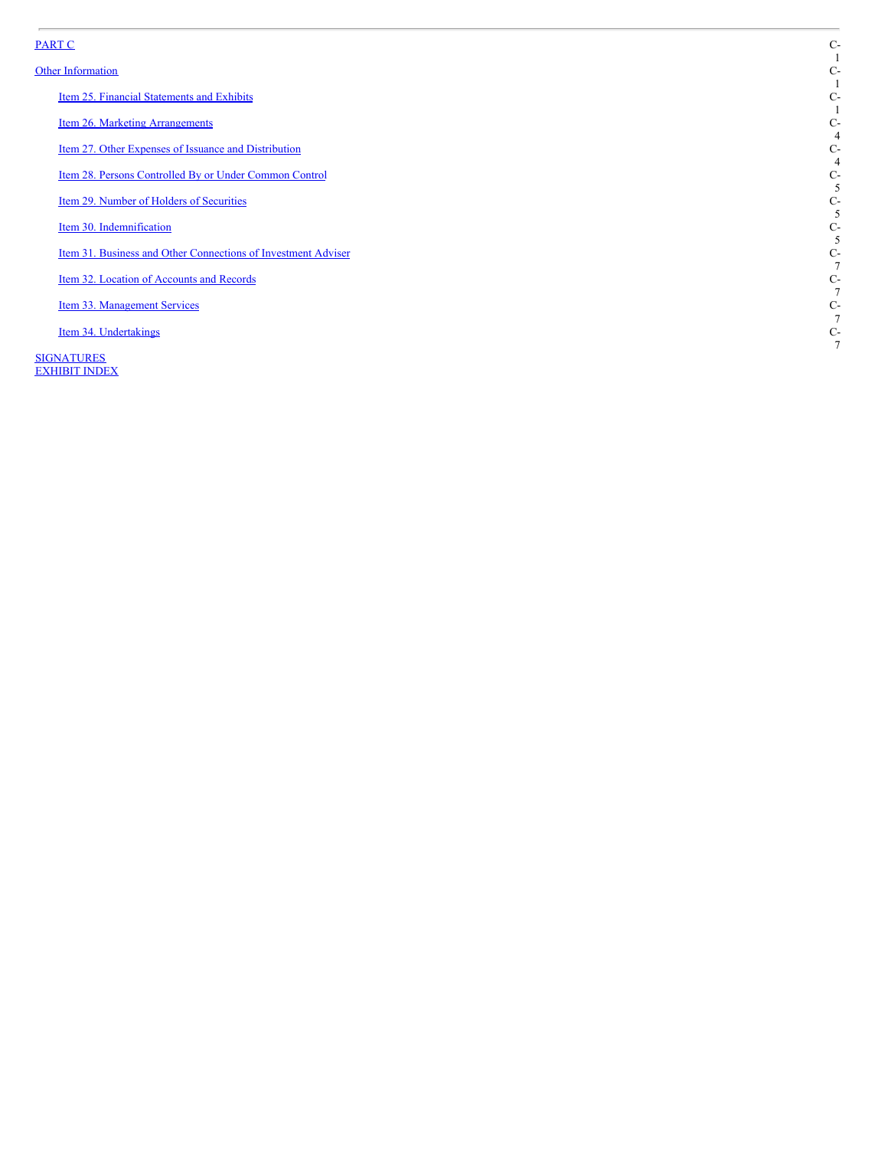## P[A](#page-3-0)RT C

#### Other In[fo](#page-3-0)rmation

Item 25. F[in](#page-3-1)ancial Statements and Exhibits

Item 26. [M](#page-6-0)arketing Arrangements

Item 27. O[th](#page-6-1)er Expenses of Issuance and Distribution

Ite[m](#page-7-0) 28. Persons Controlled By or Under Common Control

Ite[m](#page-7-1) 29. Number of Holders of Securities

Ite[m](#page-7-2) 30. Indemnification

Item 31. Business and O[th](#page-9-0)er Connections of Investment Adviser

Ite[m](#page-9-1) 32. Location of Accounts and Records

Item 33. [M](#page-9-2)anagement Services

Ite[m](#page-9-3) 34. Undertakings

**SI[G](#page-11-0)NATURES EXHIB[IT](#page-12-0) INDEX**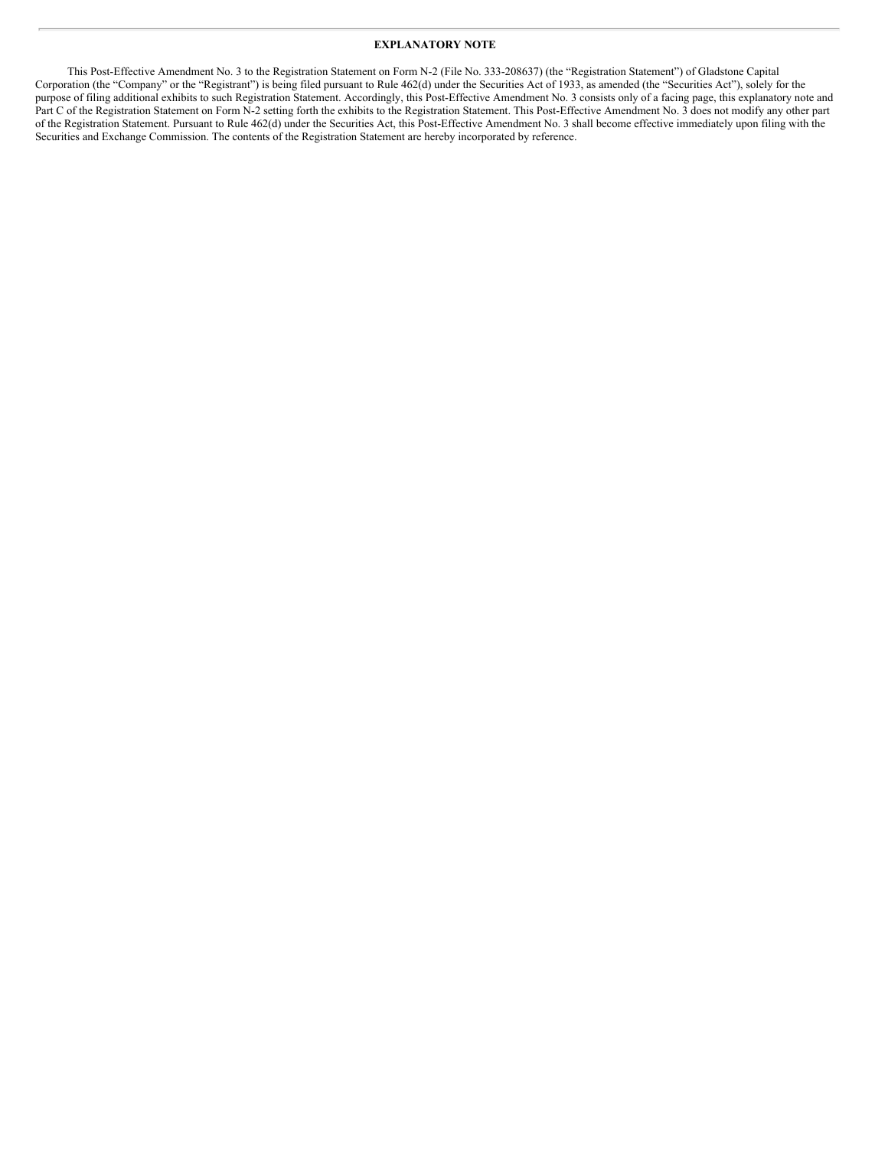### **EXPLANATORY NOTE**

This Post-Effective Amendment No. 3 to the Registration Statement on Form N-2 (File No. 333-208637) (the "Registration Statement") of Gladstone Capital Corporation (the "Company" or the "Registrant") is being filed pursuant to Rule 462(d) under the Securities Act of 1933, as amended (the "Securities Act"), solely for the purpose of filing additional exhibits to such Registration Statement. Accordingly, this Post-Effective Amendment No. 3 consists only of a facing page, this explanatory note and Part C of the Registration Statement on Form N-2 setting forth the exhibits to the Registration Statement. This Post-Effective Amendment No. 3 does not modify any other part of the Registration Statement. Pursuant to Rule 462(d) under the Securities Act, this Post-Effective Amendment No. 3 shall become effective immediately upon filing with the Securities and Exchange Commission. The contents of the Registration Statement are hereby incorporated by reference.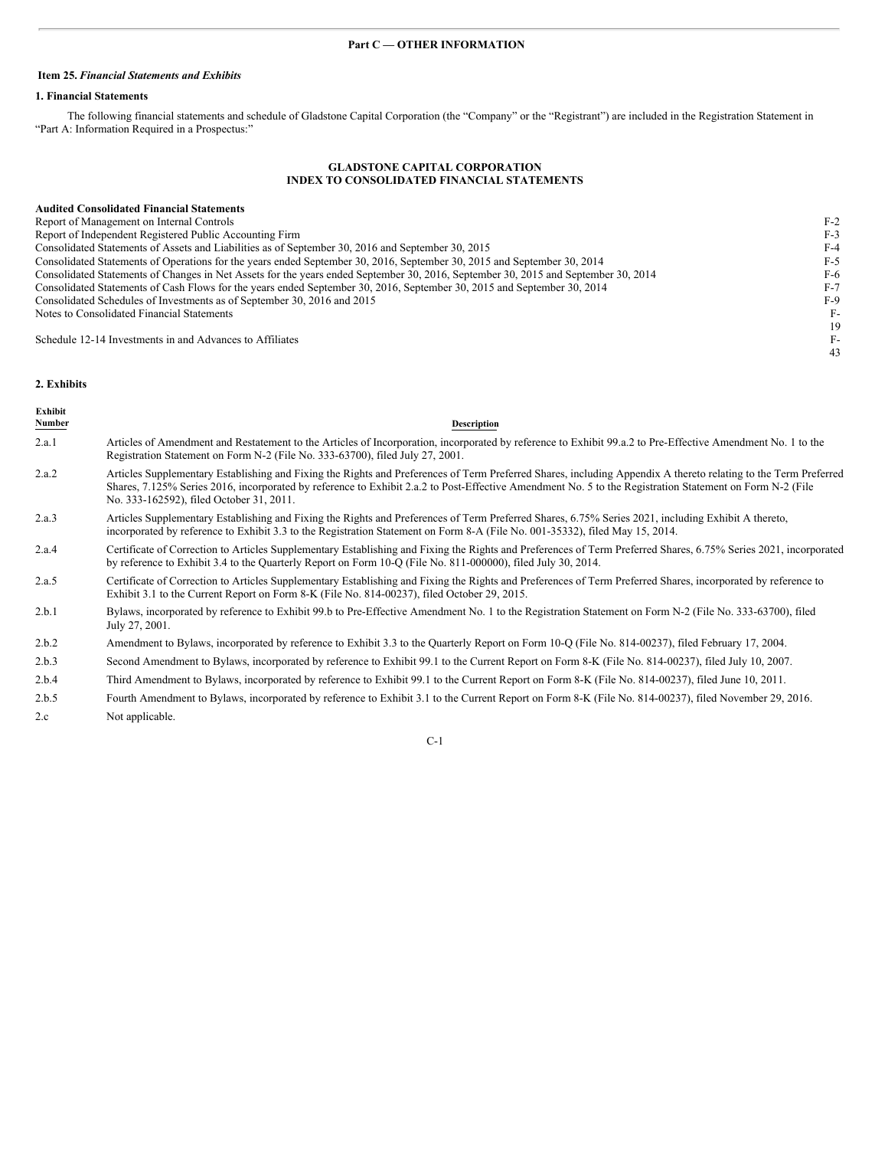#### <span id="page-3-1"></span>**Item 25.** *Financial Statements and Exhibits*

## **1. Financial Statements**

The following financial statements and schedule of Gladstone Capital Corporation (the "Company" or the "Registrant") are included in the Registration Statement in "Part A: Information Required in a Prospectus:"

## <span id="page-3-0"></span>**GLADSTONE CAPITAL CORPORATION INDEX TO CONSOLIDATED FINANCIAL STATEMENTS**

## **Audited Consolidated Financial Statements**

| Report of Management on Internal Controls                                                                                          | $F-2$ |
|------------------------------------------------------------------------------------------------------------------------------------|-------|
| Report of Independent Registered Public Accounting Firm                                                                            | $F-3$ |
| Consolidated Statements of Assets and Liabilities as of September 30, 2016 and September 30, 2015                                  | $F-4$ |
| Consolidated Statements of Operations for the years ended September 30, 2016, September 30, 2015 and September 30, 2014            | F-5   |
| Consolidated Statements of Changes in Net Assets for the years ended September 30, 2016, September 30, 2015 and September 30, 2014 | F-6   |
| Consolidated Statements of Cash Flows for the years ended September 30, 2016, September 30, 2015 and September 30, 2014            | $F-7$ |
| Consolidated Schedules of Investments as of September 30, 2016 and 2015                                                            | $F-9$ |
| Notes to Consolidated Financial Statements                                                                                         | $F-$  |
|                                                                                                                                    | 19    |
| Schedule 12-14 Investments in and Advances to Affiliates                                                                           | F-1   |
|                                                                                                                                    | 43    |

#### **2. Exhibits**

| Exhibit<br><b>Number</b> | Description                                                                                                                                                                                                                                                                                                                                                             |
|--------------------------|-------------------------------------------------------------------------------------------------------------------------------------------------------------------------------------------------------------------------------------------------------------------------------------------------------------------------------------------------------------------------|
| 2.a.1                    | Articles of Amendment and Restatement to the Articles of Incorporation, incorporated by reference to Exhibit 99.a.2 to Pre-Effective Amendment No. 1 to the<br>Registration Statement on Form N-2 (File No. 333-63700), filed July 27, 2001.                                                                                                                            |
| 2.a.2                    | Articles Supplementary Establishing and Fixing the Rights and Preferences of Term Preferred Shares, including Appendix A thereto relating to the Term Preferred<br>Shares, 7.125% Series 2016, incorporated by reference to Exhibit 2.a.2 to Post-Effective Amendment No. 5 to the Registration Statement on Form N-2 (File<br>No. 333-162592), filed October 31, 2011. |
| 2.a.3                    | Articles Supplementary Establishing and Fixing the Rights and Preferences of Term Preferred Shares, 6.75% Series 2021, including Exhibit A thereto,<br>incorporated by reference to Exhibit 3.3 to the Registration Statement on Form 8-A (File No. 001-35332), filed May 15, 2014.                                                                                     |
| 2.a.4                    | Certificate of Correction to Articles Supplementary Establishing and Fixing the Rights and Preferences of Term Preferred Shares, 6.75% Series 2021, incorporated<br>by reference to Exhibit 3.4 to the Quarterly Report on Form 10-Q (File No. 811-000000), filed July 30, 2014.                                                                                        |
| 2.a.5                    | Certificate of Correction to Articles Supplementary Establishing and Fixing the Rights and Preferences of Term Preferred Shares, incorporated by reference to<br>Exhibit 3.1 to the Current Report on Form 8-K (File No. 814-00237), filed October 29, 2015.                                                                                                            |
| 2.b.1                    | Bylaws, incorporated by reference to Exhibit 99.b to Pre-Effective Amendment No. 1 to the Registration Statement on Form N-2 (File No. 333-63700), filed<br>July 27, 2001.                                                                                                                                                                                              |
| 2.b.2                    | Amendment to Bylaws, incorporated by reference to Exhibit 3.3 to the Quarterly Report on Form 10-Q (File No. 814-00237), filed February 17, 2004.                                                                                                                                                                                                                       |
| 2.b.3                    | Second Amendment to Bylaws, incorporated by reference to Exhibit 99.1 to the Current Report on Form 8-K (File No. 814-00237), filed July 10, 2007.                                                                                                                                                                                                                      |
| 2.b.4                    | Third Amendment to Bylaws, incorporated by reference to Exhibit 99.1 to the Current Report on Form 8-K (File No. 814-00237), filed June 10, 2011.                                                                                                                                                                                                                       |

2.b.5 Fourth Amendment to Bylaws, incorporated by reference to Exhibit 3.1 to the Current Report on Form 8-K (File No. 814-00237), filed November 29, 2016. 2.c Not applicable.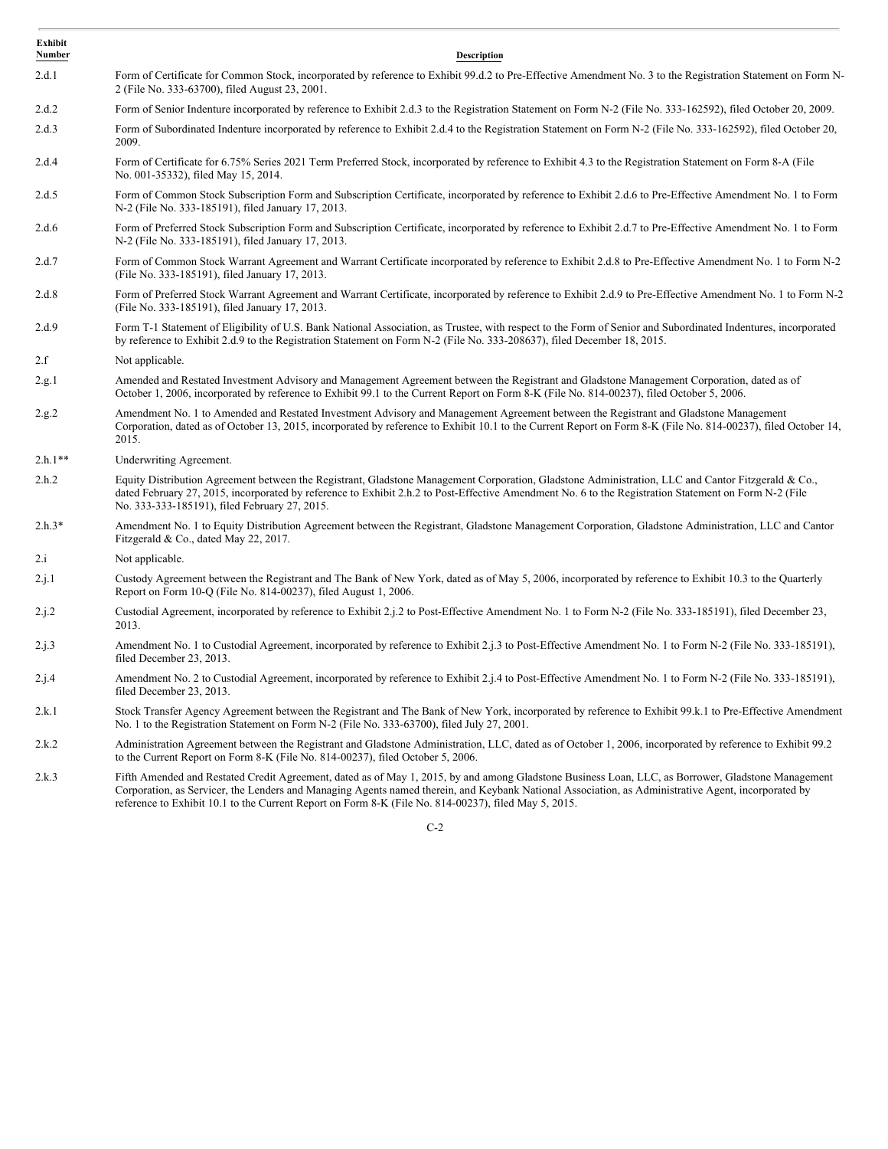| Exhibit<br>Number | <b>Description</b>                                                                                                                                                                                                                                                                                                                                           |
|-------------------|--------------------------------------------------------------------------------------------------------------------------------------------------------------------------------------------------------------------------------------------------------------------------------------------------------------------------------------------------------------|
| 2.d.1             | Form of Certificate for Common Stock, incorporated by reference to Exhibit 99.d.2 to Pre-Effective Amendment No. 3 to the Registration Statement on Form N-<br>2 (File No. 333-63700), filed August 23, 2001.                                                                                                                                                |
| 2.d.2             | Form of Senior Indenture incorporated by reference to Exhibit 2.d.3 to the Registration Statement on Form N-2 (File No. 333-162592), filed October 20, 2009.                                                                                                                                                                                                 |
| 2.d.3             | Form of Subordinated Indenture incorporated by reference to Exhibit 2.d.4 to the Registration Statement on Form N-2 (File No. 333-162592), filed October 20,<br>2009.                                                                                                                                                                                        |
| 2.d.4             | Form of Certificate for 6.75% Series 2021 Term Preferred Stock, incorporated by reference to Exhibit 4.3 to the Registration Statement on Form 8-A (File<br>No. 001-35332), filed May 15, 2014.                                                                                                                                                              |
| 2.d.5             | Form of Common Stock Subscription Form and Subscription Certificate, incorporated by reference to Exhibit 2.d.6 to Pre-Effective Amendment No. 1 to Form<br>N-2 (File No. 333-185191), filed January 17, 2013.                                                                                                                                               |
| 2.d.6             | Form of Preferred Stock Subscription Form and Subscription Certificate, incorporated by reference to Exhibit 2.d.7 to Pre-Effective Amendment No. 1 to Form<br>N-2 (File No. 333-185191), filed January 17, 2013.                                                                                                                                            |
| 2.d.7             | Form of Common Stock Warrant Agreement and Warrant Certificate incorporated by reference to Exhibit 2.d.8 to Pre-Effective Amendment No. 1 to Form N-2<br>(File No. 333-185191), filed January 17, 2013.                                                                                                                                                     |
| 2.d.8             | Form of Preferred Stock Warrant Agreement and Warrant Certificate, incorporated by reference to Exhibit 2.d.9 to Pre-Effective Amendment No. 1 to Form N-2<br>(File No. 333-185191), filed January 17, 2013.                                                                                                                                                 |
| 2.d.9             | Form T-1 Statement of Eligibility of U.S. Bank National Association, as Trustee, with respect to the Form of Senior and Subordinated Indentures, incorporated<br>by reference to Exhibit 2.d.9 to the Registration Statement on Form N-2 (File No. 333-208637), filed December 18, 2015.                                                                     |
| 2.f               | Not applicable.                                                                                                                                                                                                                                                                                                                                              |
| 2.g.1             | Amended and Restated Investment Advisory and Management Agreement between the Registrant and Gladstone Management Corporation, dated as of<br>October 1, 2006, incorporated by reference to Exhibit 99.1 to the Current Report on Form 8-K (File No. 814-00237), filed October 5, 2006.                                                                      |
| 2.g.2             | Amendment No. 1 to Amended and Restated Investment Advisory and Management Agreement between the Registrant and Gladstone Management<br>Corporation, dated as of October 13, 2015, incorporated by reference to Exhibit 10.1 to the Current Report on Form 8-K (File No. 814-00237), filed October 14,<br>2015.                                              |
| $2.h.1**$         | Underwriting Agreement.                                                                                                                                                                                                                                                                                                                                      |
| 2.h.2             | Equity Distribution Agreement between the Registrant, Gladstone Management Corporation, Gladstone Administration, LLC and Cantor Fitzgerald & Co.,<br>dated February 27, 2015, incorporated by reference to Exhibit 2.h.2 to Post-Effective Amendment No. 6 to the Registration Statement on Form N-2 (File<br>No. 333-333-185191), filed February 27, 2015. |
| $2.h.3*$          | Amendment No. 1 to Equity Distribution Agreement between the Registrant, Gladstone Management Corporation, Gladstone Administration, LLC and Cantor<br>Fitzgerald & Co., dated May 22, 2017.                                                                                                                                                                 |
| 2.i               | Not applicable.                                                                                                                                                                                                                                                                                                                                              |
| 2.j.1             | Custody Agreement between the Registrant and The Bank of New York, dated as of May 5, 2006, incorporated by reference to Exhibit 10.3 to the Quarterly<br>Report on Form 10-Q (File No. 814-00237), filed August 1, 2006.                                                                                                                                    |
| 2.j.2             | Custodial Agreement, incorporated by reference to Exhibit 2.j.2 to Post-Effective Amendment No. 1 to Form N-2 (File No. 333-185191), filed December 23,<br>2013.                                                                                                                                                                                             |
| 2.j.3             | Amendment No. 1 to Custodial Agreement, incorporated by reference to Exhibit 2.j.3 to Post-Effective Amendment No. 1 to Form N-2 (File No. 333-185191),<br>filed December 23, 2013.                                                                                                                                                                          |
| 2.j.4             | Amendment No. 2 to Custodial Agreement, incorporated by reference to Exhibit 2.j.4 to Post-Effective Amendment No. 1 to Form N-2 (File No. 333-185191),<br>filed December 23, 2013.                                                                                                                                                                          |
| 2.k.1             | Stock Transfer Agency Agreement between the Registrant and The Bank of New York, incorporated by reference to Exhibit 99.k.1 to Pre-Effective Amendment<br>No. 1 to the Registration Statement on Form N-2 (File No. 333-63700), filed July 27, 2001.                                                                                                        |
| 2.k.2             | Administration Agreement between the Registrant and Gladstone Administration, LLC, dated as of October 1, 2006, incorporated by reference to Exhibit 99.2<br>to the Current Report on Form 8-K (File No. 814-00237), filed October 5, 2006.                                                                                                                  |
| 2.k.3             | Fifth Amended and Restated Credit Agreement, dated as of May 1, 2015, by and among Gladstone Business Loan, LLC, as Borrower, Gladstone Management<br>Corporation, as Servicer, the Lenders and Managing Agents named therein, and Keybank National Association, as Administrative Agent, incorporated by                                                    |

C-2

reference to Exhibit 10.1 to the Current Report on Form 8-K (File No. 814-00237), filed May 5, 2015.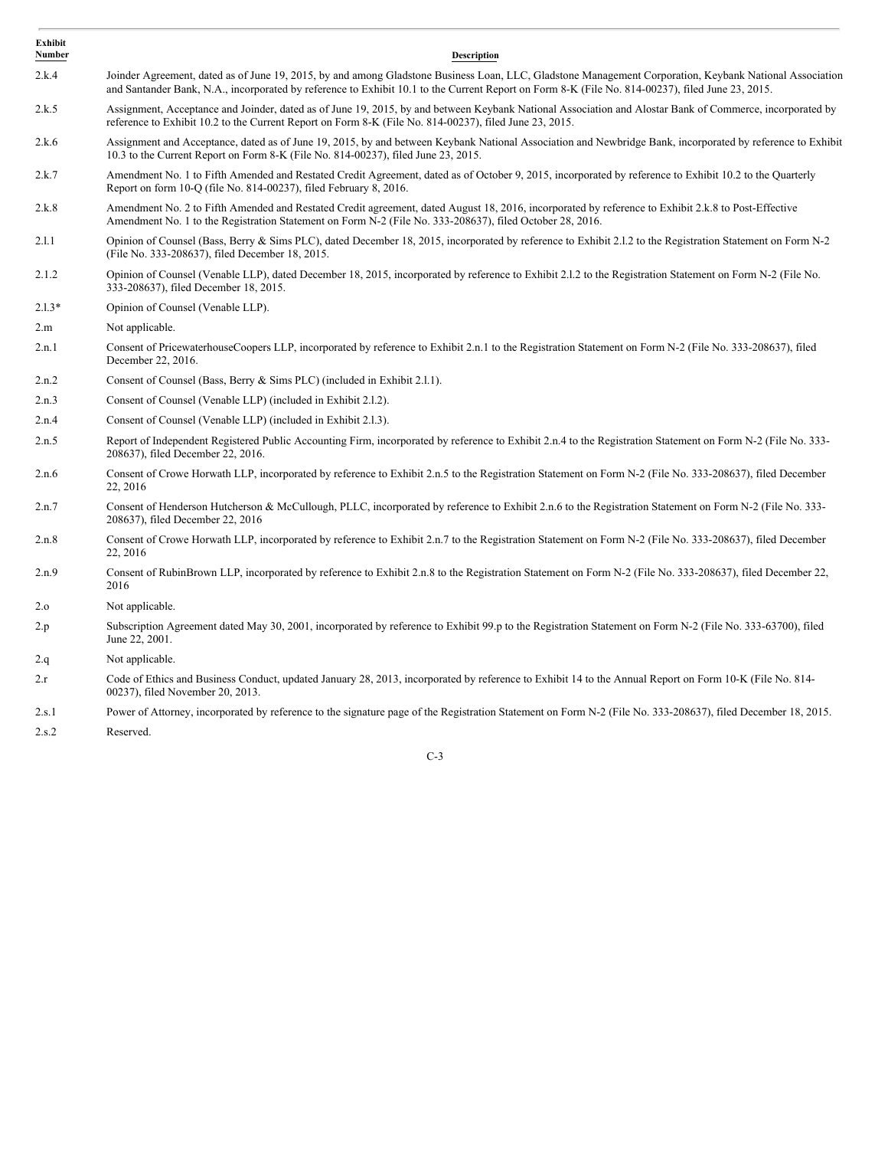| Exhibit<br>Number | <b>Description</b>                                                                                                                                                                                                                                                                                          |
|-------------------|-------------------------------------------------------------------------------------------------------------------------------------------------------------------------------------------------------------------------------------------------------------------------------------------------------------|
| 2.k.4             | Joinder Agreement, dated as of June 19, 2015, by and among Gladstone Business Loan, LLC, Gladstone Management Corporation, Keybank National Association<br>and Santander Bank, N.A., incorporated by reference to Exhibit 10.1 to the Current Report on Form 8-K (File No. 814-00237), filed June 23, 2015. |
| 2.k.5             | Assignment, Acceptance and Joinder, dated as of June 19, 2015, by and between Keybank National Association and Alostar Bank of Commerce, incorporated by<br>reference to Exhibit 10.2 to the Current Report on Form 8-K (File No. 814-00237), filed June 23, 2015.                                          |
| 2.k.6             | Assignment and Acceptance, dated as of June 19, 2015, by and between Keybank National Association and Newbridge Bank, incorporated by reference to Exhibit<br>10.3 to the Current Report on Form 8-K (File No. 814-00237), filed June 23, 2015.                                                             |
| 2.k.7             | Amendment No. 1 to Fifth Amended and Restated Credit Agreement, dated as of October 9, 2015, incorporated by reference to Exhibit 10.2 to the Quarterly<br>Report on form 10-Q (file No. 814-00237), filed February 8, 2016.                                                                                |
| 2.k.8             | Amendment No. 2 to Fifth Amended and Restated Credit agreement, dated August 18, 2016, incorporated by reference to Exhibit 2.k.8 to Post-Effective<br>Amendment No. 1 to the Registration Statement on Form N-2 (File No. 333-208637), filed October 28, 2016.                                             |
| 2.1.1             | Opinion of Counsel (Bass, Berry & Sims PLC), dated December 18, 2015, incorporated by reference to Exhibit 2.1.2 to the Registration Statement on Form N-2<br>(File No. 333-208637), filed December 18, 2015.                                                                                               |
| 2.1.2             | Opinion of Counsel (Venable LLP), dated December 18, 2015, incorporated by reference to Exhibit 2.1.2 to the Registration Statement on Form N-2 (File No.<br>333-208637), filed December 18, 2015.                                                                                                          |
| $2.1.3*$          | Opinion of Counsel (Venable LLP).                                                                                                                                                                                                                                                                           |
| 2.m               | Not applicable.                                                                                                                                                                                                                                                                                             |
| 2.n.1             | Consent of PricewaterhouseCoopers LLP, incorporated by reference to Exhibit 2.n.1 to the Registration Statement on Form N-2 (File No. 333-208637), filed<br>December 22, 2016.                                                                                                                              |
| 2.n.2             | Consent of Counsel (Bass, Berry & Sims PLC) (included in Exhibit 2.1.1).                                                                                                                                                                                                                                    |
| 2.n.3             | Consent of Counsel (Venable LLP) (included in Exhibit 2.1.2).                                                                                                                                                                                                                                               |
| 2.n.4             | Consent of Counsel (Venable LLP) (included in Exhibit 2.1.3).                                                                                                                                                                                                                                               |
| 2.n.5             | Report of Independent Registered Public Accounting Firm, incorporated by reference to Exhibit 2.n.4 to the Registration Statement on Form N-2 (File No. 333-<br>208637), filed December 22, 2016.                                                                                                           |
| 2.n.6             | Consent of Crowe Horwath LLP, incorporated by reference to Exhibit 2.n.5 to the Registration Statement on Form N-2 (File No. 333-208637), filed December<br>22, 2016                                                                                                                                        |
| 2.n.7             | Consent of Henderson Hutcherson & McCullough, PLLC, incorporated by reference to Exhibit 2.n.6 to the Registration Statement on Form N-2 (File No. 333-<br>208637), filed December 22, 2016                                                                                                                 |
| 2.n.8             | Consent of Crowe Horwath LLP, incorporated by reference to Exhibit 2.n.7 to the Registration Statement on Form N-2 (File No. 333-208637), filed December<br>22, 2016                                                                                                                                        |
| 2.n.9             | Consent of RubinBrown LLP, incorporated by reference to Exhibit 2.n.8 to the Registration Statement on Form N-2 (File No. 333-208637), filed December 22,<br>2016                                                                                                                                           |
| 2.0               | Not applicable.                                                                                                                                                                                                                                                                                             |
| 2.p               | Subscription Agreement dated May 30, 2001, incorporated by reference to Exhibit 99.p to the Registration Statement on Form N-2 (File No. 333-63700), filed<br>June 22, 2001.                                                                                                                                |
| 2.q               | Not applicable.                                                                                                                                                                                                                                                                                             |
| 2.r               | Code of Ethics and Business Conduct, updated January 28, 2013, incorporated by reference to Exhibit 14 to the Annual Report on Form 10-K (File No. 814-<br>00237), filed November 20, 2013.                                                                                                                 |
| 2.s.1             | Power of Attorney, incorporated by reference to the signature page of the Registration Statement on Form N-2 (File No. 333-208637), filed December 18, 2015.                                                                                                                                                |
|                   |                                                                                                                                                                                                                                                                                                             |

2.s.2 Reserved.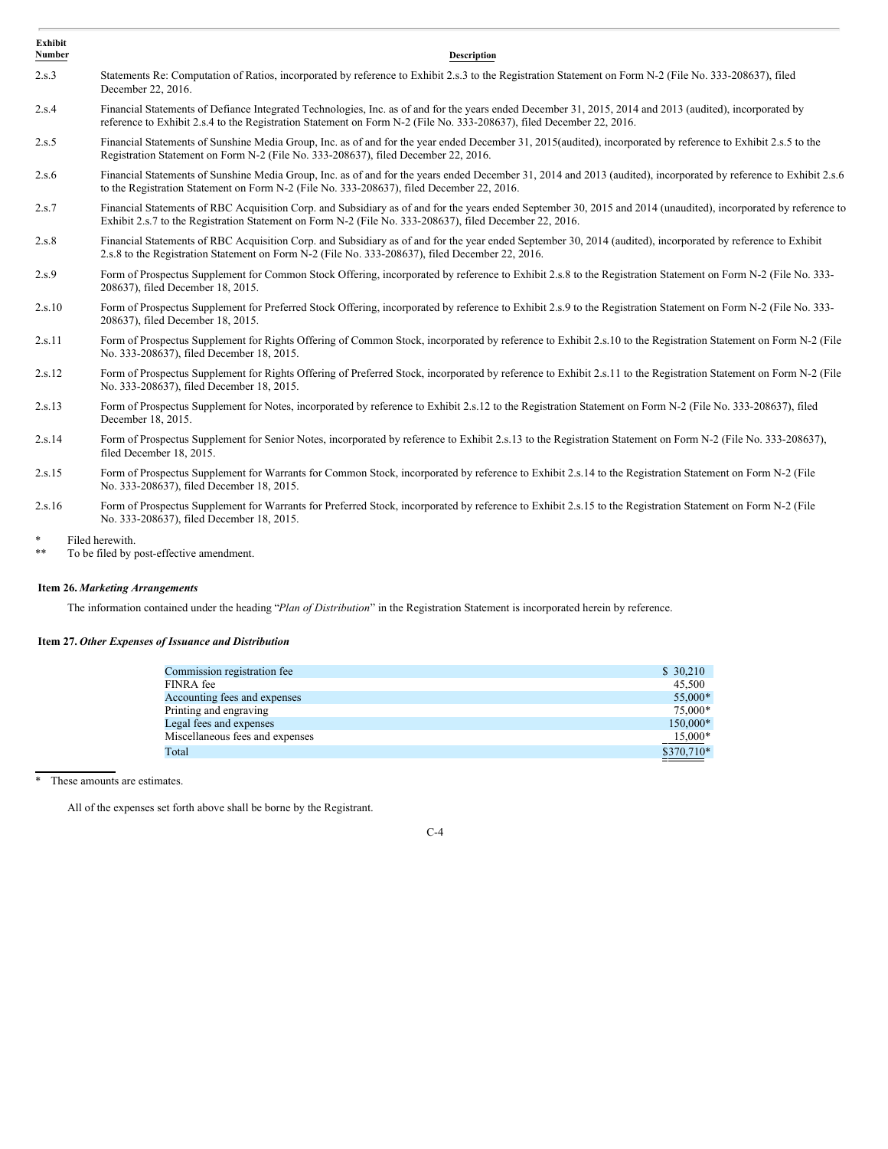| <b>Exhibit</b><br>Number | <b>Description</b>                                                                                                                                                                                                                                                               |
|--------------------------|----------------------------------------------------------------------------------------------------------------------------------------------------------------------------------------------------------------------------------------------------------------------------------|
| 2.s.3                    | Statements Re: Computation of Ratios, incorporated by reference to Exhibit 2.s.3 to the Registration Statement on Form N-2 (File No. 333-208637), filed<br>December 22, 2016.                                                                                                    |
| 2.s.4                    | Financial Statements of Defiance Integrated Technologies, Inc. as of and for the years ended December 31, 2015, 2014 and 2013 (audited), incorporated by<br>reference to Exhibit 2.s.4 to the Registration Statement on Form N-2 (File No. 333-208637), filed December 22, 2016. |
| 2.s.5                    | Financial Statements of Sunshine Media Group, Inc. as of and for the year ended December 31, 2015(audited), incorporated by reference to Exhibit 2.s.5 to the<br>Registration Statement on Form N-2 (File No. 333-208637), filed December 22, 2016.                              |
| 2.s.6                    | Financial Statements of Sunshine Media Group, Inc. as of and for the years ended December 31, 2014 and 2013 (audited), incorporated by reference to Exhibit 2.s.6<br>to the Registration Statement on Form N-2 (File No. 333-208637), filed December 22, 2016.                   |
| 2.s.7                    | Financial Statements of RBC Acquisition Corp. and Subsidiary as of and for the years ended September 30, 2015 and 2014 (unaudited), incorporated by reference to<br>Exhibit 2.s.7 to the Registration Statement on Form N-2 (File No. 333-208637), filed December 22, 2016.      |
| 2.s.8                    | Financial Statements of RBC Acquisition Corp. and Subsidiary as of and for the year ended September 30, 2014 (audited), incorporated by reference to Exhibit<br>2.s.8 to the Registration Statement on Form N-2 (File No. 333-208637), filed December 22, 2016.                  |
| 2.s.9                    | Form of Prospectus Supplement for Common Stock Offering, incorporated by reference to Exhibit 2.s.8 to the Registration Statement on Form N-2 (File No. 333-<br>208637), filed December 18, 2015.                                                                                |
| 2.s.10                   | Form of Prospectus Supplement for Preferred Stock Offering, incorporated by reference to Exhibit 2.s.9 to the Registration Statement on Form N-2 (File No. 333-<br>208637), filed December 18, 2015.                                                                             |
| 2.s.11                   | Form of Prospectus Supplement for Rights Offering of Common Stock, incorporated by reference to Exhibit 2.s.10 to the Registration Statement on Form N-2 (File<br>No. 333-208637), filed December 18, 2015.                                                                      |
| 2.s.12                   | Form of Prospectus Supplement for Rights Offering of Preferred Stock, incorporated by reference to Exhibit 2.s.11 to the Registration Statement on Form N-2 (File<br>No. 333-208637), filed December 18, 2015.                                                                   |
| 2.s.13                   | Form of Prospectus Supplement for Notes, incorporated by reference to Exhibit 2.s.12 to the Registration Statement on Form N-2 (File No. 333-208637), filed<br>December 18, 2015.                                                                                                |
| 2.s.14                   | Form of Prospectus Supplement for Senior Notes, incorporated by reference to Exhibit 2.s.13 to the Registration Statement on Form N-2 (File No. 333-208637),<br>filed December 18, 2015.                                                                                         |
| 2.s.15                   | Form of Prospectus Supplement for Warrants for Common Stock, incorporated by reference to Exhibit 2.s.14 to the Registration Statement on Form N-2 (File<br>No. 333-208637), filed December 18, 2015.                                                                            |
| 2.s.16                   | Form of Prospectus Supplement for Warrants for Preferred Stock, incorporated by reference to Exhibit 2.s.15 to the Registration Statement on Form N-2 (File<br>No. 333-208637), filed December 18, 2015.                                                                         |
| $\ast$<br>$***$          | Filed herewith.<br>To be filed by post-effective amendment.                                                                                                                                                                                                                      |

## <span id="page-6-0"></span>**Item 26.** *Marketing Arrangements*

The information contained under the heading "*Plan of Distribution*" in the Registration Statement is incorporated herein by reference.

## <span id="page-6-1"></span>**Item 27.** *Other Expenses of Issuance and Distribution*

| Commission registration fee.    | \$30,210   |
|---------------------------------|------------|
| FINRA fee                       | 45,500     |
| Accounting fees and expenses    | 55,000*    |
| Printing and engraving          | 75,000*    |
| Legal fees and expenses         | 150,000*   |
| Miscellaneous fees and expenses | $15,000*$  |
| Total                           | \$370,710* |
|                                 |            |

\* These amounts are estimates.

All of the expenses set forth above shall be borne by the Registrant.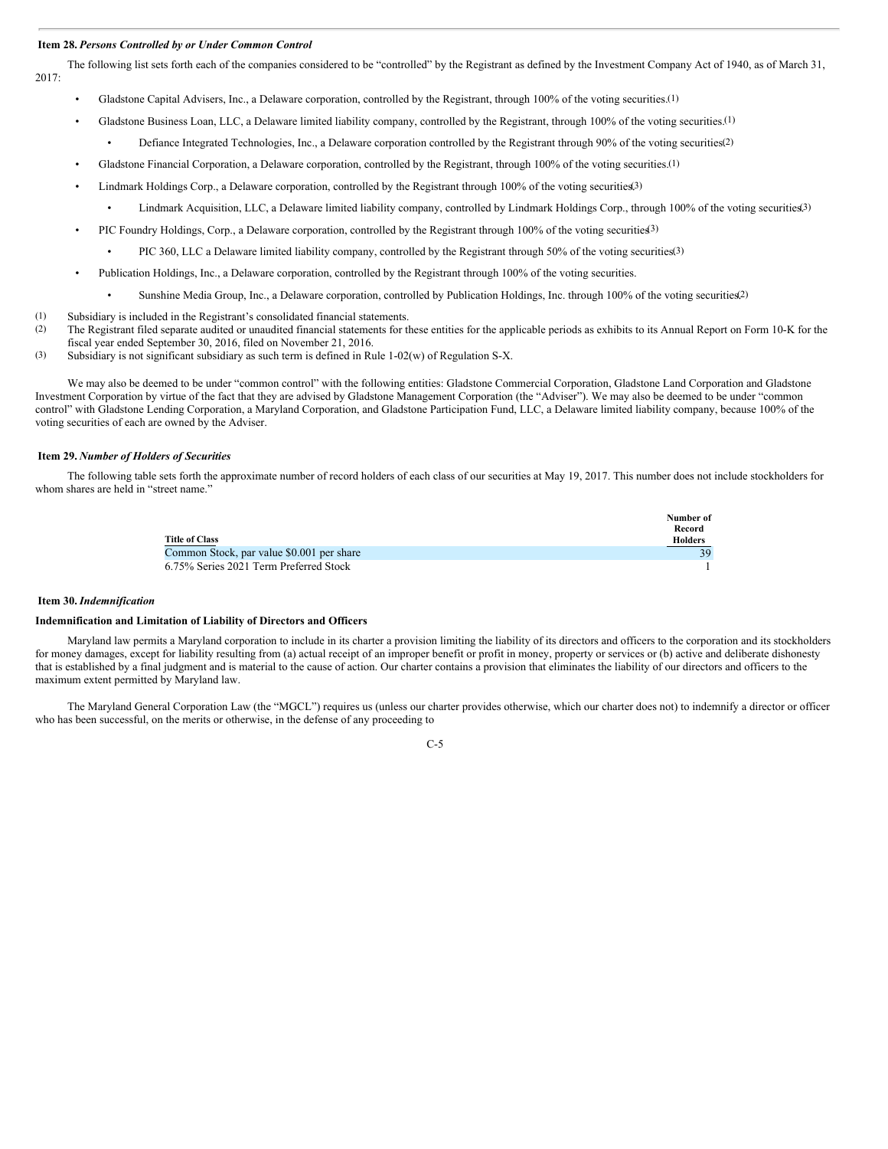#### <span id="page-7-0"></span>**Item 28.** *Persons Controlled by or Under Common Control*

The following list sets forth each of the companies considered to be "controlled" by the Registrant as defined by the Investment Company Act of 1940, as of March 31, 2017:

- Gladstone Capital Advisers, Inc., a Delaware corporation, controlled by the Registrant, through 100% of the voting securities.<sup>(1)</sup>
- Gladstone Business Loan, LLC, a Delaware limited liability company, controlled by the Registrant, through 100% of the voting securities.(1)
	- Defiance Integrated Technologies, Inc., a Delaware corporation controlled by the Registrant through 90% of the voting securities.(2)
- Gladstone Financial Corporation, a Delaware corporation, controlled by the Registrant, through 100% of the voting securities.<sup>(1)</sup>
	- Lindmark Holdings Corp., a Delaware corporation, controlled by the Registrant through 100% of the voting securities.<sup>(3)</sup>
		- Lindmark Acquisition, LLC, a Delaware limited liability company, controlled by Lindmark Holdings Corp., through 100% of the voting securities<sup>3)</sup>
	- PIC Foundry Holdings, Corp., a Delaware corporation, controlled by the Registrant through  $100\%$  of the voting securities.
		- PIC 360, LLC a Delaware limited liability company, controlled by the Registrant through  $50\%$  of the voting securities.<sup>(3)</sup>
- Publication Holdings, Inc., a Delaware corporation, controlled by the Registrant through 100% of the voting securities.
	- Sunshine Media Group, Inc., a Delaware corporation, controlled by Publication Holdings, Inc. through 100% of the voting securities.
- (1) Subsidiary is included in the Registrant's consolidated financial statements.
- (2) The Registrant filed separate audited or unaudited financial statements for these entities for the applicable periods as exhibits to its Annual Report on Form 10-K for the fiscal year ended September 30, 2016, filed on November 21, 2016.
- (3) Subsidiary is not significant subsidiary as such term is defined in Rule 1-02(w) of Regulation S-X.

We may also be deemed to be under "common control" with the following entities: Gladstone Commercial Corporation, Gladstone Land Corporation and Gladstone Investment Corporation by virtue of the fact that they are advised by Gladstone Management Corporation (the "Adviser"). We may also be deemed to be under "common control" with Gladstone Lending Corporation, a Maryland Corporation, and Gladstone Participation Fund, LLC, a Delaware limited liability company, because 100% of the voting securities of each are owned by the Adviser.

### <span id="page-7-1"></span>**Item 29.** *Number of Holders of Securities*

The following table sets forth the approximate number of record holders of each class of our securities at May 19, 2017. This number does not include stockholders for whom shares are held in "street name."



#### <span id="page-7-2"></span>**Item 30.** *Indemnification*

#### **Indemnification and Limitation of Liability of Directors and Officers**

Maryland law permits a Maryland corporation to include in its charter a provision limiting the liability of its directors and officers to the corporation and its stockholders for money damages, except for liability resulting from (a) actual receipt of an improper benefit or profit in money, property or services or (b) active and deliberate dishonesty that is established by a final judgment and is material to the cause of action. Our charter contains a provision that eliminates the liability of our directors and officers to the maximum extent permitted by Maryland law.

The Maryland General Corporation Law (the "MGCL") requires us (unless our charter provides otherwise, which our charter does not) to indemnify a director or officer who has been successful, on the merits or otherwise, in the defense of any proceeding to

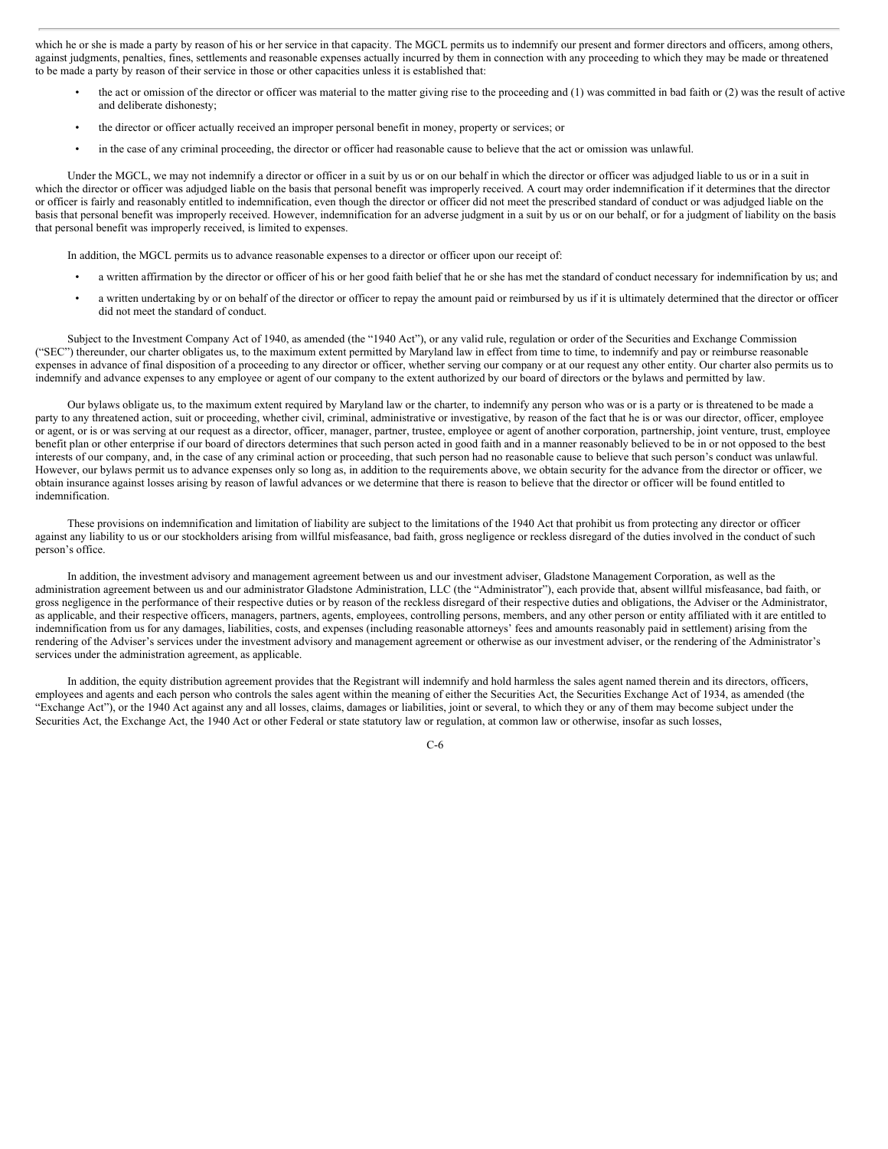which he or she is made a party by reason of his or her service in that capacity. The MGCL permits us to indemnify our present and former directors and officers, among others, against judgments, penalties, fines, settlements and reasonable expenses actually incurred by them in connection with any proceeding to which they may be made or threatened to be made a party by reason of their service in those or other capacities unless it is established that:

- the act or omission of the director or officer was material to the matter giving rise to the proceeding and (1) was committed in bad faith or (2) was the result of active and deliberate dishonesty;
- the director or officer actually received an improper personal benefit in money, property or services; or
- in the case of any criminal proceeding, the director or officer had reasonable cause to believe that the act or omission was unlawful.

Under the MGCL, we may not indemnify a director or officer in a suit by us or on our behalf in which the director or officer was adjudged liable to us or in a suit in which the director or officer was adjudged liable on the basis that personal benefit was improperly received. A court may order indemnification if it determines that the director or officer is fairly and reasonably entitled to indemnification, even though the director or officer did not meet the prescribed standard of conduct or was adjudged liable on the basis that personal benefit was improperly received. However, indemnification for an adverse judgment in a suit by us or on our behalf, or for a judgment of liability on the basis that personal benefit was improperly received, is limited to expenses.

In addition, the MGCL permits us to advance reasonable expenses to a director or officer upon our receipt of:

- a written affirmation by the director or officer of his or her good faith belief that he or she has met the standard of conduct necessary for indemnification by us; and
- a written undertaking by or on behalf of the director or officer to repay the amount paid or reimbursed by us if it is ultimately determined that the director or officer did not meet the standard of conduct.

Subject to the Investment Company Act of 1940, as amended (the "1940 Act"), or any valid rule, regulation or order of the Securities and Exchange Commission ("SEC") thereunder, our charter obligates us, to the maximum extent permitted by Maryland law in effect from time to time, to indemnify and pay or reimburse reasonable expenses in advance of final disposition of a proceeding to any director or officer, whether serving our company or at our request any other entity. Our charter also permits us to indemnify and advance expenses to any employee or agent of our company to the extent authorized by our board of directors or the bylaws and permitted by law.

Our bylaws obligate us, to the maximum extent required by Maryland law or the charter, to indemnify any person who was or is a party or is threatened to be made a party to any threatened action, suit or proceeding, whether civil, criminal, administrative or investigative, by reason of the fact that he is or was our director, officer, employee or agent, or is or was serving at our request as a director, officer, manager, partner, trustee, employee or agent of another corporation, partnership, joint venture, trust, employee benefit plan or other enterprise if our board of directors determines that such person acted in good faith and in a manner reasonably believed to be in or not opposed to the best interests of our company, and, in the case of any criminal action or proceeding, that such person had no reasonable cause to believe that such person's conduct was unlawful. However, our bylaws permit us to advance expenses only so long as, in addition to the requirements above, we obtain security for the advance from the director or officer, we obtain insurance against losses arising by reason of lawful advances or we determine that there is reason to believe that the director or officer will be found entitled to indemnification.

These provisions on indemnification and limitation of liability are subject to the limitations of the 1940 Act that prohibit us from protecting any director or officer against any liability to us or our stockholders arising from willful misfeasance, bad faith, gross negligence or reckless disregard of the duties involved in the conduct of such person's office.

In addition, the investment advisory and management agreement between us and our investment adviser, Gladstone Management Corporation, as well as the administration agreement between us and our administrator Gladstone Administration, LLC (the "Administrator"), each provide that, absent willful misfeasance, bad faith, or gross negligence in the performance of their respective duties or by reason of the reckless disregard of their respective duties and obligations, the Adviser or the Administrator, as applicable, and their respective officers, managers, partners, agents, employees, controlling persons, members, and any other person or entity affiliated with it are entitled to indemnification from us for any damages, liabilities, costs, and expenses (including reasonable attorneys' fees and amounts reasonably paid in settlement) arising from the rendering of the Adviser's services under the investment advisory and management agreement or otherwise as our investment adviser, or the rendering of the Administrator's services under the administration agreement, as applicable.

In addition, the equity distribution agreement provides that the Registrant will indemnify and hold harmless the sales agent named therein and its directors, officers, employees and agents and each person who controls the sales agent within the meaning of either the Securities Act, the Securities Exchange Act of 1934, as amended (the "Exchange Act"), or the 1940 Act against any and all losses, claims, damages or liabilities, joint or several, to which they or any of them may become subject under the Securities Act, the Exchange Act, the 1940 Act or other Federal or state statutory law or regulation, at common law or otherwise, insofar as such losses,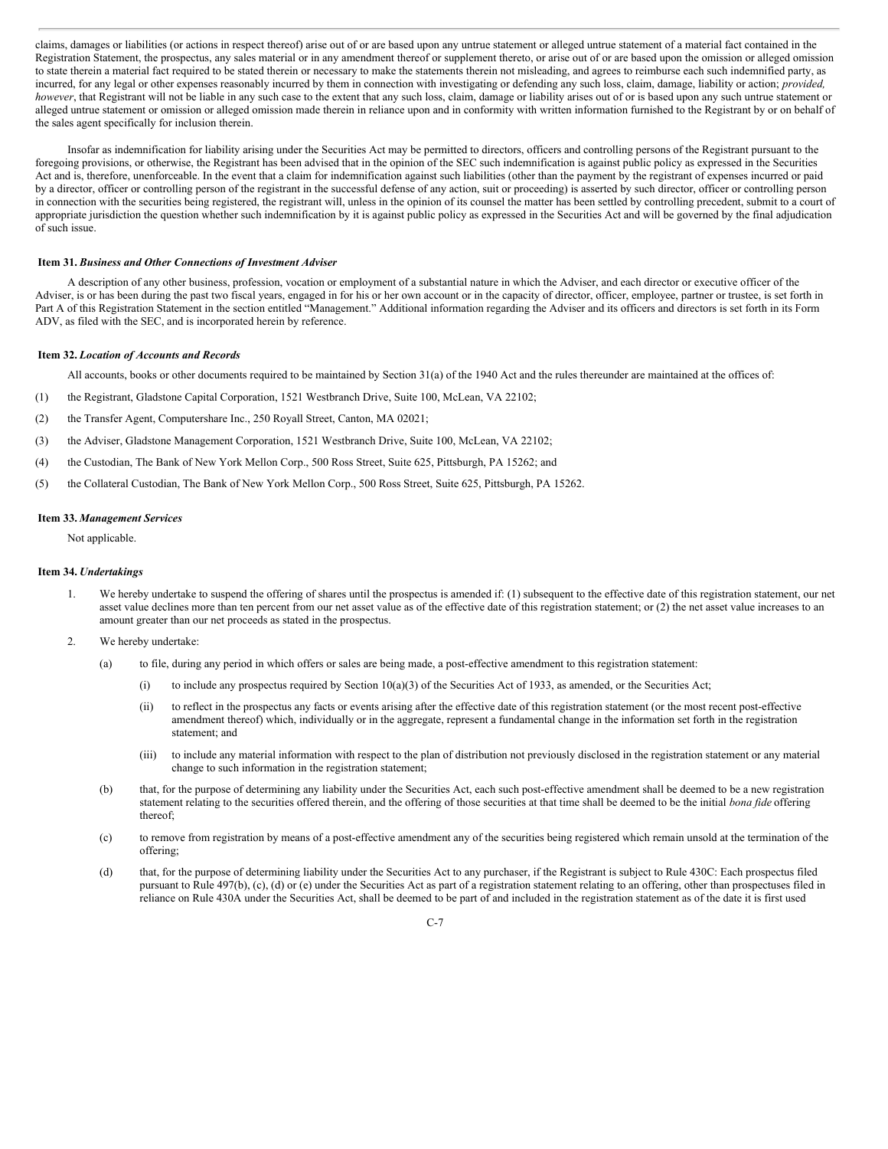claims, damages or liabilities (or actions in respect thereof) arise out of or are based upon any untrue statement or alleged untrue statement of a material fact contained in the Registration Statement, the prospectus, any sales material or in any amendment thereof or supplement thereto, or arise out of or are based upon the omission or alleged omission to state therein a material fact required to be stated therein or necessary to make the statements therein not misleading, and agrees to reimburse each such indemnified party, as incurred, for any legal or other expenses reasonably incurred by them in connection with investigating or defending any such loss, claim, damage, liability or action; *provided, however*, that Registrant will not be liable in any such case to the extent that any such loss, claim, damage or liability arises out of or is based upon any such untrue statement or alleged untrue statement or omission or alleged omission made therein in reliance upon and in conformity with written information furnished to the Registrant by or on behalf of the sales agent specifically for inclusion therein.

Insofar as indemnification for liability arising under the Securities Act may be permitted to directors, officers and controlling persons of the Registrant pursuant to the foregoing provisions, or otherwise, the Registrant has been advised that in the opinion of the SEC such indemnification is against public policy as expressed in the Securities Act and is, therefore, unenforceable. In the event that a claim for indemnification against such liabilities (other than the payment by the registrant of expenses incurred or paid by a director, officer or controlling person of the registrant in the successful defense of any action, suit or proceeding) is asserted by such director, officer or controlling person in connection with the securities being registered, the registrant will, unless in the opinion of its counsel the matter has been settled by controlling precedent, submit to a court of appropriate jurisdiction the question whether such indemnification by it is against public policy as expressed in the Securities Act and will be governed by the final adjudication of such issue.

#### <span id="page-9-0"></span>**Item 31.** *Business and Other Connections of Investment Adviser*

A description of any other business, profession, vocation or employment of a substantial nature in which the Adviser, and each director or executive officer of the Adviser, is or has been during the past two fiscal years, engaged in for his or her own account or in the capacity of director, officer, employee, partner or trustee, is set forth in Part A of this Registration Statement in the section entitled "Management." Additional information regarding the Adviser and its officers and directors is set forth in its Form ADV, as filed with the SEC, and is incorporated herein by reference.

#### <span id="page-9-1"></span>**Item 32.** *Location of Accounts and Records*

All accounts, books or other documents required to be maintained by Section 31(a) of the 1940 Act and the rules thereunder are maintained at the offices of:

- (1) the Registrant, Gladstone Capital Corporation, 1521 Westbranch Drive, Suite 100, McLean, VA 22102;
- (2) the Transfer Agent, Computershare Inc., 250 Royall Street, Canton, MA 02021;
- (3) the Adviser, Gladstone Management Corporation, 1521 Westbranch Drive, Suite 100, McLean, VA 22102;
- (4) the Custodian, The Bank of New York Mellon Corp., 500 Ross Street, Suite 625, Pittsburgh, PA 15262; and
- (5) the Collateral Custodian, The Bank of New York Mellon Corp., 500 Ross Street, Suite 625, Pittsburgh, PA 15262.

#### <span id="page-9-2"></span>**Item 33.** *Management Services*

Not applicable.

#### <span id="page-9-3"></span>**Item 34.** *Undertakings*

- 1. We hereby undertake to suspend the offering of shares until the prospectus is amended if: (1) subsequent to the effective date of this registration statement, our net asset value declines more than ten percent from our net asset value as of the effective date of this registration statement; or (2) the net asset value increases to an amount greater than our net proceeds as stated in the prospectus.
- 2. We hereby undertake:
	- (a) to file, during any period in which offers or sales are being made, a post-effective amendment to this registration statement:
		- (i) to include any prospectus required by Section  $10(a)(3)$  of the Securities Act of 1933, as amended, or the Securities Act;
		- (ii) to reflect in the prospectus any facts or events arising after the effective date of this registration statement (or the most recent post-effective amendment thereof) which, individually or in the aggregate, represent a fundamental change in the information set forth in the registration statement; and
		- (iii) to include any material information with respect to the plan of distribution not previously disclosed in the registration statement or any material change to such information in the registration statement;
	- (b) that, for the purpose of determining any liability under the Securities Act, each such post-effective amendment shall be deemed to be a new registration statement relating to the securities offered therein, and the offering of those securities at that time shall be deemed to be the initial *bona fide* offering thereof;
	- (c) to remove from registration by means of a post-effective amendment any of the securities being registered which remain unsold at the termination of the offering;
	- (d) that, for the purpose of determining liability under the Securities Act to any purchaser, if the Registrant is subject to Rule 430C: Each prospectus filed pursuant to Rule 497(b), (c), (d) or (e) under the Securities Act as part of a registration statement relating to an offering, other than prospectuses filed in reliance on Rule 430A under the Securities Act, shall be deemed to be part of and included in the registration statement as of the date it is first used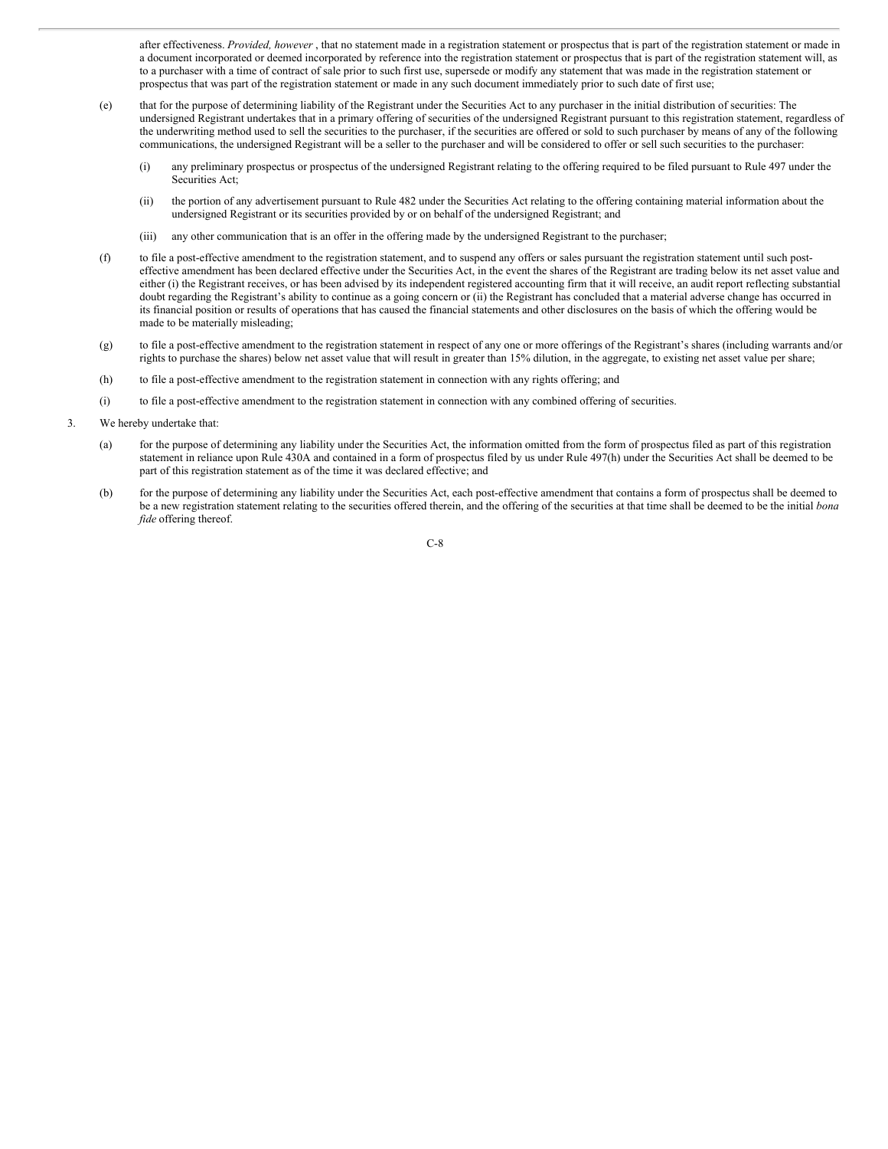after effectiveness. *Provided, however* , that no statement made in a registration statement or prospectus that is part of the registration statement or made in a document incorporated or deemed incorporated by reference into the registration statement or prospectus that is part of the registration statement will, as to a purchaser with a time of contract of sale prior to such first use, supersede or modify any statement that was made in the registration statement or prospectus that was part of the registration statement or made in any such document immediately prior to such date of first use;

- (e) that for the purpose of determining liability of the Registrant under the Securities Act to any purchaser in the initial distribution of securities: The undersigned Registrant undertakes that in a primary offering of securities of the undersigned Registrant pursuant to this registration statement, regardless of the underwriting method used to sell the securities to the purchaser, if the securities are offered or sold to such purchaser by means of any of the following communications, the undersigned Registrant will be a seller to the purchaser and will be considered to offer or sell such securities to the purchaser:
	- (i) any preliminary prospectus or prospectus of the undersigned Registrant relating to the offering required to be filed pursuant to Rule 497 under the Securities Act;
	- (ii) the portion of any advertisement pursuant to Rule 482 under the Securities Act relating to the offering containing material information about the undersigned Registrant or its securities provided by or on behalf of the undersigned Registrant; and
	- (iii) any other communication that is an offer in the offering made by the undersigned Registrant to the purchaser;
- (f) to file a post-effective amendment to the registration statement, and to suspend any offers or sales pursuant the registration statement until such posteffective amendment has been declared effective under the Securities Act, in the event the shares of the Registrant are trading below its net asset value and either (i) the Registrant receives, or has been advised by its independent registered accounting firm that it will receive, an audit report reflecting substantial doubt regarding the Registrant's ability to continue as a going concern or (ii) the Registrant has concluded that a material adverse change has occurred in its financial position or results of operations that has caused the financial statements and other disclosures on the basis of which the offering would be made to be materially misleading;
- (g) to file a post-effective amendment to the registration statement in respect of any one or more offerings of the Registrant's shares (including warrants and/or rights to purchase the shares) below net asset value that will result in greater than 15% dilution, in the aggregate, to existing net asset value per share;
- (h) to file a post-effective amendment to the registration statement in connection with any rights offering; and
- (i) to file a post-effective amendment to the registration statement in connection with any combined offering of securities.
- 3. We hereby undertake that:
	- (a) for the purpose of determining any liability under the Securities Act, the information omitted from the form of prospectus filed as part of this registration statement in reliance upon Rule 430A and contained in a form of prospectus filed by us under Rule 497(h) under the Securities Act shall be deemed to be part of this registration statement as of the time it was declared effective; and
	- (b) for the purpose of determining any liability under the Securities Act, each post-effective amendment that contains a form of prospectus shall be deemed to be a new registration statement relating to the securities offered therein, and the offering of the securities at that time shall be deemed to be the initial *bona fide* offering thereof.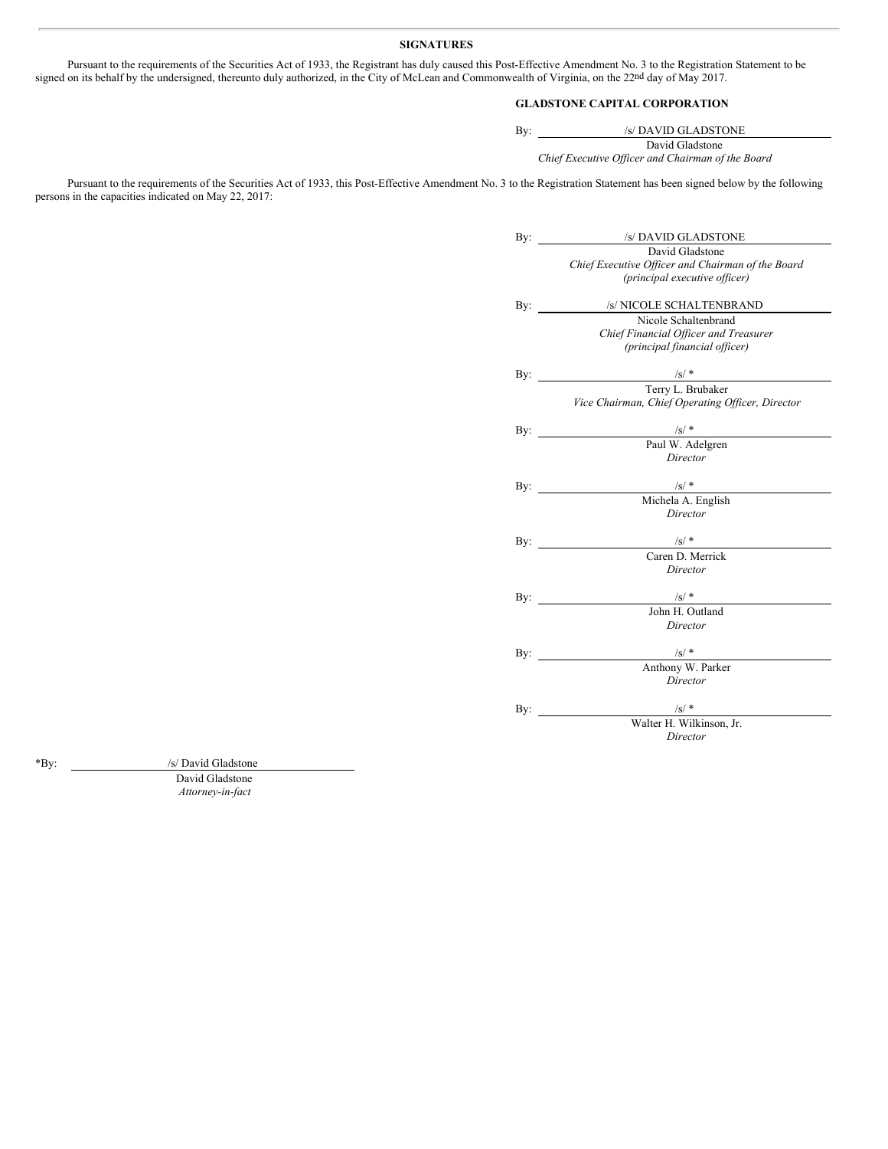## <span id="page-11-0"></span>**SIGNATURES**

Pursuant to the requirements of the Securities Act of 1933, the Registrant has duly caused this Post-Effective Amendment No. 3 to the Registration Statement to be signed on its behalf by the undersigned, thereunto duly authorized, in the City of McLean and Commonwealth of Virginia, on the 22<sup>nd</sup> day of May 2017.

## **GLADSTONE CAPITAL CORPORATION**

By: /s/ DAVID GLADSTONE David Gladstone *Chief Executive Of icer and Chairman of the Board*

Pursuant to the requirements of the Securities Act of 1933, this Post-Effective Amendment No. 3 to the Registration Statement has been signed below by the following persons in the capacities indicated on May 22, 2017:

| By: | /s/ DAVID GLADSTONE                                    |
|-----|--------------------------------------------------------|
|     | David Gladstone                                        |
|     | Chief Executive Officer and Chairman of the Board      |
|     | (principal executive officer)                          |
|     | By: /s/ NICOLE SCHALTENBRAND                           |
|     | Nicole Schaltenbrand                                   |
|     | Chief Financial Officer and Treasurer                  |
|     | (principal financial officer)                          |
|     |                                                        |
|     | By: $\frac{1/s^{\prime\; *}}{\text{Term L. Brubaker}}$ |
|     |                                                        |
|     | Vice Chairman, Chief Operating Officer, Director       |
|     |                                                        |
| By: | $\frac{1}{100}$ $\frac{1}{100}$ Paul W. Adelgren       |
|     |                                                        |
|     | Director                                               |
|     |                                                        |
|     | By: $\frac{1/s}{s}$<br>Michela A. English              |
|     |                                                        |
|     | Director                                               |
|     |                                                        |
| By: | $\frac{1}{\sqrt{S}}$ /s/ *                             |
|     | Caren D. Merrick                                       |
|     | Director                                               |
|     |                                                        |
|     | By: $/s/$ *                                            |
|     | John H. Outland                                        |
|     | Director                                               |
|     | By: $\frac{1}{s}$ /s/*                                 |
|     | Anthony W. Parker                                      |
|     | Director                                               |
|     |                                                        |
|     |                                                        |
|     | By: $\frac{1/s}{s}$ Walter H. Wilkinson, Jr.           |
|     | Director                                               |

\*By: /s/ David Gladstone

David Gladstone *Attorney-in-fact*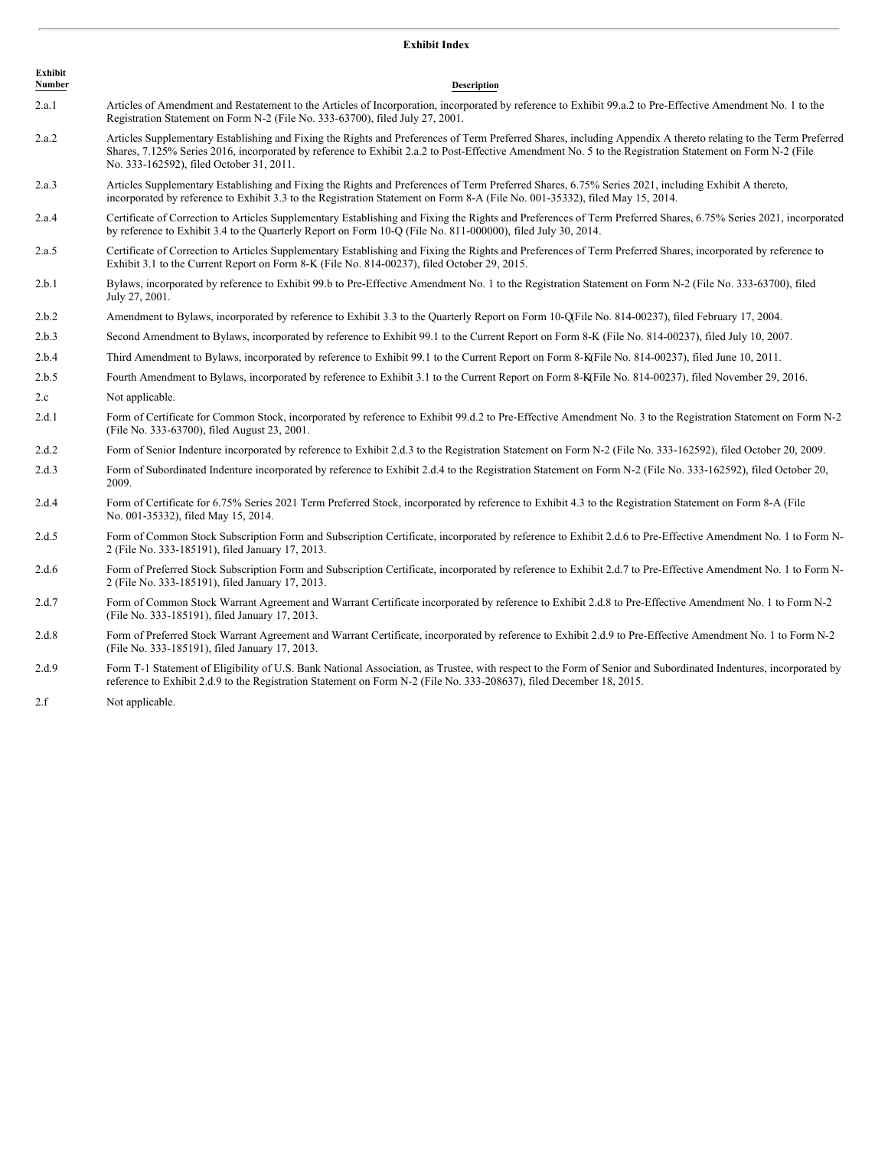## <span id="page-12-0"></span>**Exhibit Index**

| <b>Exhibit</b><br>Number | <b>Description</b>                                                                                                                                                                                                                                                                                                                                                      |
|--------------------------|-------------------------------------------------------------------------------------------------------------------------------------------------------------------------------------------------------------------------------------------------------------------------------------------------------------------------------------------------------------------------|
| 2.a.1                    | Articles of Amendment and Restatement to the Articles of Incorporation, incorporated by reference to Exhibit 99.a.2 to Pre-Effective Amendment No. 1 to the<br>Registration Statement on Form N-2 (File No. 333-63700), filed July 27, 2001.                                                                                                                            |
| 2.a.2                    | Articles Supplementary Establishing and Fixing the Rights and Preferences of Term Preferred Shares, including Appendix A thereto relating to the Term Preferred<br>Shares, 7.125% Series 2016, incorporated by reference to Exhibit 2.a.2 to Post-Effective Amendment No. 5 to the Registration Statement on Form N-2 (File<br>No. 333-162592), filed October 31, 2011. |
| 2.a.3                    | Articles Supplementary Establishing and Fixing the Rights and Preferences of Term Preferred Shares, 6.75% Series 2021, including Exhibit A thereto,<br>incorporated by reference to Exhibit 3.3 to the Registration Statement on Form 8-A (File No. 001-35332), filed May 15, 2014.                                                                                     |
| 2.a.4                    | Certificate of Correction to Articles Supplementary Establishing and Fixing the Rights and Preferences of Term Preferred Shares, 6.75% Series 2021, incorporated<br>by reference to Exhibit 3.4 to the Quarterly Report on Form 10-Q (File No. 811-000000), filed July 30, 2014.                                                                                        |
| 2.a.5                    | Certificate of Correction to Articles Supplementary Establishing and Fixing the Rights and Preferences of Term Preferred Shares, incorporated by reference to<br>Exhibit 3.1 to the Current Report on Form 8-K (File No. 814-00237), filed October 29, 2015.                                                                                                            |
| 2.b.1                    | Bylaws, incorporated by reference to Exhibit 99.b to Pre-Effective Amendment No. 1 to the Registration Statement on Form N-2 (File No. 333-63700), filed<br>July 27, 2001.                                                                                                                                                                                              |
| 2.b.2                    | Amendment to Bylaws, incorporated by reference to Exhibit 3.3 to the Quarterly Report on Form 10-QFile No. 814-00237), filed February 17, 2004.                                                                                                                                                                                                                         |
| 2.b.3                    | Second Amendment to Bylaws, incorporated by reference to Exhibit 99.1 to the Current Report on Form 8-K (File No. 814-00237), filed July 10, 2007.                                                                                                                                                                                                                      |
| 2.b.4                    | Third Amendment to Bylaws, incorporated by reference to Exhibit 99.1 to the Current Report on Form 8-K(File No. 814-00237), filed June 10, 2011.                                                                                                                                                                                                                        |
| 2.b.5                    | Fourth Amendment to Bylaws, incorporated by reference to Exhibit 3.1 to the Current Report on Form 8-KFile No. 814-00237), filed November 29, 2016.                                                                                                                                                                                                                     |
| 2.c                      | Not applicable.                                                                                                                                                                                                                                                                                                                                                         |
| 2.d.1                    | Form of Certificate for Common Stock, incorporated by reference to Exhibit 99.d.2 to Pre-Effective Amendment No. 3 to the Registration Statement on Form N-2<br>(File No. 333-63700), filed August 23, 2001.                                                                                                                                                            |
| 2.d.2                    | Form of Senior Indenture incorporated by reference to Exhibit 2.d.3 to the Registration Statement on Form N-2 (File No. 333-162592), filed October 20, 2009.                                                                                                                                                                                                            |
| 2.d.3                    | Form of Subordinated Indenture incorporated by reference to Exhibit 2.d.4 to the Registration Statement on Form N-2 (File No. 333-162592), filed October 20,<br>2009.                                                                                                                                                                                                   |
| 2.d.4                    | Form of Certificate for 6.75% Series 2021 Term Preferred Stock, incorporated by reference to Exhibit 4.3 to the Registration Statement on Form 8-A (File<br>No. 001-35332), filed May 15, 2014.                                                                                                                                                                         |
| 2.d.5                    | Form of Common Stock Subscription Form and Subscription Certificate, incorporated by reference to Exhibit 2.d.6 to Pre-Effective Amendment No. 1 to Form N-<br>2 (File No. 333-185191), filed January 17, 2013.                                                                                                                                                         |
| 2.d.6                    | Form of Preferred Stock Subscription Form and Subscription Certificate, incorporated by reference to Exhibit 2.d.7 to Pre-Effective Amendment No. 1 to Form N-<br>2 (File No. 333-185191), filed January 17, 2013.                                                                                                                                                      |
| 2.d.7                    | Form of Common Stock Warrant Agreement and Warrant Certificate incorporated by reference to Exhibit 2.d.8 to Pre-Effective Amendment No. 1 to Form N-2<br>(File No. 333-185191), filed January 17, 2013.                                                                                                                                                                |
| 2.d.8                    | Form of Preferred Stock Warrant Agreement and Warrant Certificate, incorporated by reference to Exhibit 2.d.9 to Pre-Effective Amendment No. 1 to Form N-2<br>(File No. 333-185191), filed January 17, 2013.                                                                                                                                                            |

- 2.d.9 Form T-1 Statement of Eligibility of U.S. Bank National Association, as Trustee, with respect to the Form of Senior and Subordinated Indentures, incorporated by reference to Exhibit 2.d.9 to the Registration Statement on Form N-2 (File No. 333-208637), filed December 18, 2015.
- 2.f Not applicable.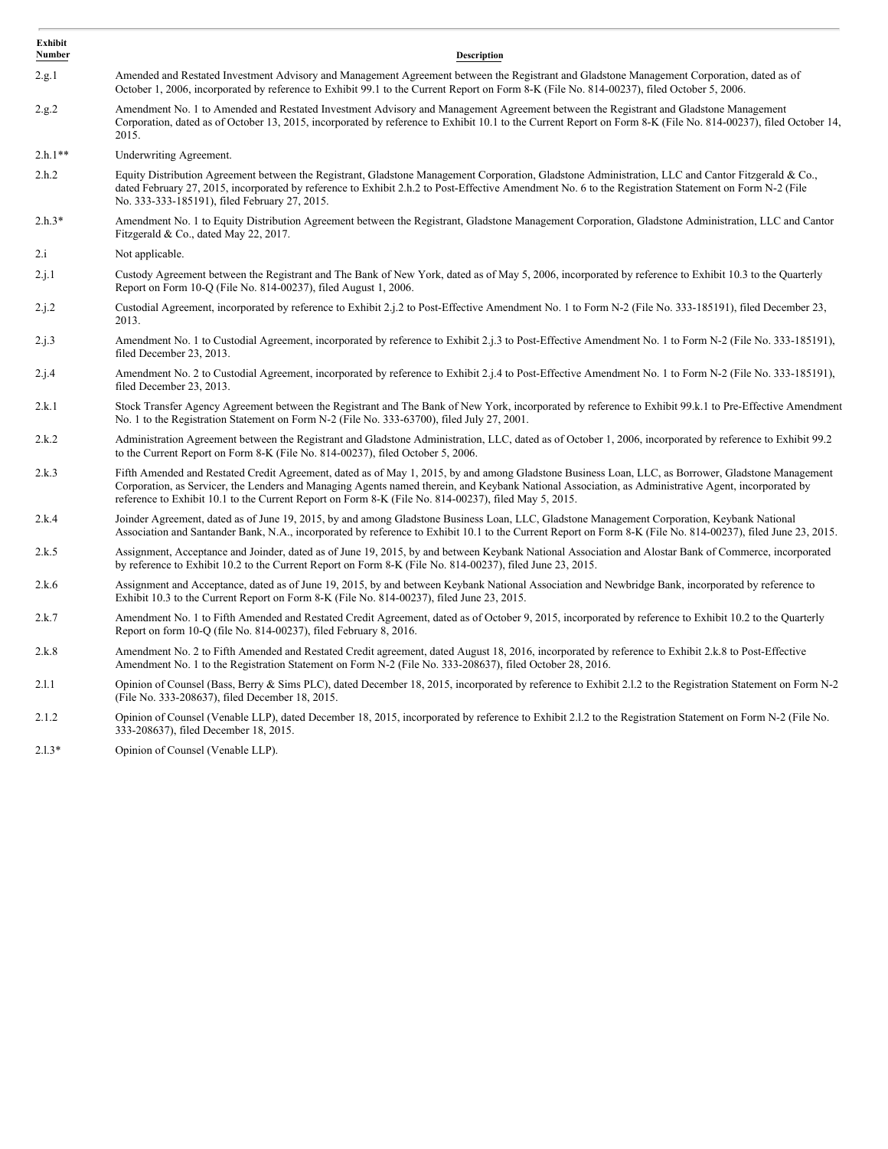| <b>Exhibit</b><br>Number | <b>Description</b>                                                                                                                                                                                                                                                                                                                                                                                                |
|--------------------------|-------------------------------------------------------------------------------------------------------------------------------------------------------------------------------------------------------------------------------------------------------------------------------------------------------------------------------------------------------------------------------------------------------------------|
| 2.g.1                    | Amended and Restated Investment Advisory and Management Agreement between the Registrant and Gladstone Management Corporation, dated as of<br>October 1, 2006, incorporated by reference to Exhibit 99.1 to the Current Report on Form 8-K (File No. 814-00237), filed October 5, 2006.                                                                                                                           |
| 2.g.2                    | Amendment No. 1 to Amended and Restated Investment Advisory and Management Agreement between the Registrant and Gladstone Management<br>Corporation, dated as of October 13, 2015, incorporated by reference to Exhibit 10.1 to the Current Report on Form 8-K (File No. 814-00237), filed October 14,<br>2015.                                                                                                   |
| $2.h.1**$                | Underwriting Agreement.                                                                                                                                                                                                                                                                                                                                                                                           |
| 2.h.2                    | Equity Distribution Agreement between the Registrant, Gladstone Management Corporation, Gladstone Administration, LLC and Cantor Fitzgerald & Co.,<br>dated February 27, 2015, incorporated by reference to Exhibit 2.h.2 to Post-Effective Amendment No. 6 to the Registration Statement on Form N-2 (File<br>No. 333-333-185191), filed February 27, 2015.                                                      |
| $2.h.3*$                 | Amendment No. 1 to Equity Distribution Agreement between the Registrant, Gladstone Management Corporation, Gladstone Administration, LLC and Cantor<br>Fitzgerald & Co., dated May 22, 2017.                                                                                                                                                                                                                      |
| 2.i                      | Not applicable.                                                                                                                                                                                                                                                                                                                                                                                                   |
| 2.i.1                    | Custody Agreement between the Registrant and The Bank of New York, dated as of May 5, 2006, incorporated by reference to Exhibit 10.3 to the Quarterly<br>Report on Form 10-Q (File No. 814-00237), filed August 1, 2006.                                                                                                                                                                                         |
| 2.i.2                    | Custodial Agreement, incorporated by reference to Exhibit 2.1.2 to Post-Effective Amendment No. 1 to Form N-2 (File No. 333-185191), filed December 23,<br>2013.                                                                                                                                                                                                                                                  |
| 2.j.3                    | Amendment No. 1 to Custodial Agreement, incorporated by reference to Exhibit 2.1.3 to Post-Effective Amendment No. 1 to Form N-2 (File No. 333-185191),<br>filed December 23, 2013.                                                                                                                                                                                                                               |
| 2.i.4                    | Amendment No. 2 to Custodial Agreement, incorporated by reference to Exhibit 2.j.4 to Post-Effective Amendment No. 1 to Form N-2 (File No. 333-185191),<br>filed December 23, 2013.                                                                                                                                                                                                                               |
| 2.k.1                    | Stock Transfer Agency Agreement between the Registrant and The Bank of New York, incorporated by reference to Exhibit 99.k.1 to Pre-Effective Amendment<br>No. 1 to the Registration Statement on Form N-2 (File No. 333-63700), filed July 27, 2001.                                                                                                                                                             |
| 2.k.2                    | Administration Agreement between the Registrant and Gladstone Administration, LLC, dated as of October 1, 2006, incorporated by reference to Exhibit 99.2<br>to the Current Report on Form 8-K (File No. 814-00237), filed October 5, 2006.                                                                                                                                                                       |
| 2.k.3                    | Fifth Amended and Restated Credit Agreement, dated as of May 1, 2015, by and among Gladstone Business Loan, LLC, as Borrower, Gladstone Management<br>Corporation, as Servicer, the Lenders and Managing Agents named therein, and Keybank National Association, as Administrative Agent, incorporated by<br>reference to Exhibit 10.1 to the Current Report on Form 8-K (File No. 814-00237), filed May 5, 2015. |
| 2.k.4                    | Joinder Agreement, dated as of June 19, 2015, by and among Gladstone Business Loan, LLC, Gladstone Management Corporation, Keybank National<br>Association and Santander Bank, N.A., incorporated by reference to Exhibit 10.1 to the Current Report on Form 8-K (File No. 814-00237), filed June 23, 2015.                                                                                                       |
| 2.k.5                    | Assignment, Acceptance and Joinder, dated as of June 19, 2015, by and between Keybank National Association and Alostar Bank of Commerce, incorporated<br>by reference to Exhibit 10.2 to the Current Report on Form 8-K (File No. 814-00237), filed June 23, 2015.                                                                                                                                                |
| 2.k.6                    | Assignment and Acceptance, dated as of June 19, 2015, by and between Keybank National Association and Newbridge Bank, incorporated by reference to<br>Exhibit 10.3 to the Current Report on Form 8-K (File No. 814-00237), filed June 23, 2015.                                                                                                                                                                   |
| 2.k.7                    | Amendment No. 1 to Fifth Amended and Restated Credit Agreement, dated as of October 9, 2015, incorporated by reference to Exhibit 10.2 to the Quarterly<br>Report on form 10-Q (file No. 814-00237), filed February 8, 2016.                                                                                                                                                                                      |
| 2.k.8                    | Amendment No. 2 to Fifth Amended and Restated Credit agreement, dated August 18, 2016, incorporated by reference to Exhibit 2.k.8 to Post-Effective<br>Amendment No. 1 to the Registration Statement on Form N-2 (File No. 333-208637), filed October 28, 2016.                                                                                                                                                   |
| 2.1.1                    | Opinion of Counsel (Bass, Berry & Sims PLC), dated December 18, 2015, incorporated by reference to Exhibit 2.1.2 to the Registration Statement on Form N-2<br>(File No. 333-208637), filed December 18, 2015.                                                                                                                                                                                                     |
| 2.1.2                    | Opinion of Counsel (Venable LLP), dated December 18, 2015, incorporated by reference to Exhibit 2.1.2 to the Registration Statement on Form N-2 (File No.<br>333-208637), filed December 18, 2015.                                                                                                                                                                                                                |

2.l.3\* Opinion of Counsel (Venable LLP).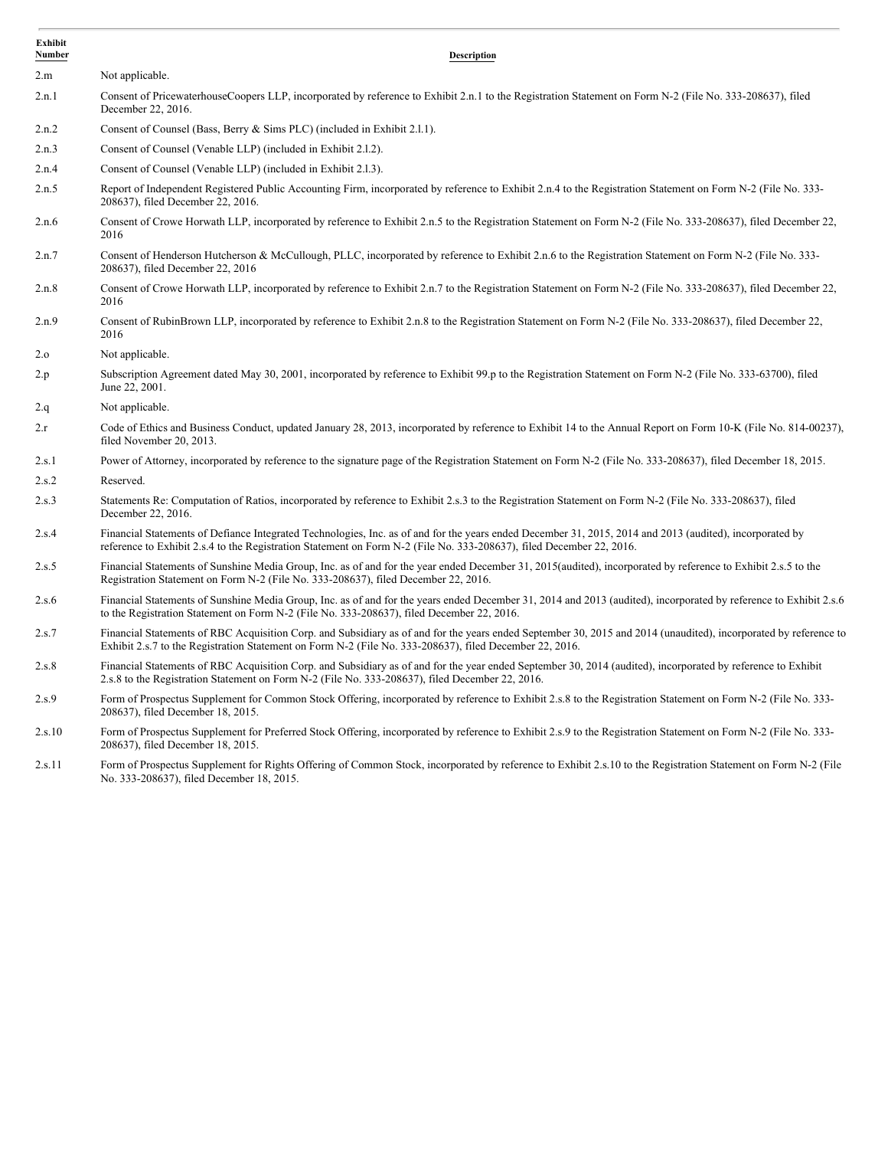| Exhibit<br>Number | <b>Description</b>                                                                                                                                                                                                                                                               |
|-------------------|----------------------------------------------------------------------------------------------------------------------------------------------------------------------------------------------------------------------------------------------------------------------------------|
| 2.m               | Not applicable.                                                                                                                                                                                                                                                                  |
| 2.n.1             | Consent of PricewaterhouseCoopers LLP, incorporated by reference to Exhibit 2.n.1 to the Registration Statement on Form N-2 (File No. 333-208637), filed<br>December 22, 2016.                                                                                                   |
| 2.n.2             | Consent of Counsel (Bass, Berry & Sims PLC) (included in Exhibit 2.1.1).                                                                                                                                                                                                         |
| 2.n.3             | Consent of Counsel (Venable LLP) (included in Exhibit 2.1.2).                                                                                                                                                                                                                    |
| 2.n.4             | Consent of Counsel (Venable LLP) (included in Exhibit 2.1.3).                                                                                                                                                                                                                    |
| 2.n.5             | Report of Independent Registered Public Accounting Firm, incorporated by reference to Exhibit 2.n.4 to the Registration Statement on Form N-2 (File No. 333-<br>208637), filed December 22, 2016.                                                                                |
| 2.n.6             | Consent of Crowe Horwath LLP, incorporated by reference to Exhibit 2.n.5 to the Registration Statement on Form N-2 (File No. 333-208637), filed December 22,<br>2016                                                                                                             |
| 2.n.7             | Consent of Henderson Hutcherson & McCullough, PLLC, incorporated by reference to Exhibit 2.n.6 to the Registration Statement on Form N-2 (File No. 333-<br>208637), filed December 22, 2016                                                                                      |
| 2.n.8             | Consent of Crowe Horwath LLP, incorporated by reference to Exhibit 2.n.7 to the Registration Statement on Form N-2 (File No. 333-208637), filed December 22,<br>2016                                                                                                             |
| 2.n.9             | Consent of RubinBrown LLP, incorporated by reference to Exhibit 2.n.8 to the Registration Statement on Form N-2 (File No. 333-208637), filed December 22,<br>2016                                                                                                                |
| 2.0               | Not applicable.                                                                                                                                                                                                                                                                  |
| 2.p               | Subscription Agreement dated May 30, 2001, incorporated by reference to Exhibit 99.p to the Registration Statement on Form N-2 (File No. 333-63700), filed<br>June 22, 2001.                                                                                                     |
| 2.q               | Not applicable.                                                                                                                                                                                                                                                                  |
| 2.r               | Code of Ethics and Business Conduct, updated January 28, 2013, incorporated by reference to Exhibit 14 to the Annual Report on Form 10-K (File No. 814-00237),<br>filed November 20, 2013.                                                                                       |
| 2.s.1             | Power of Attorney, incorporated by reference to the signature page of the Registration Statement on Form N-2 (File No. 333-208637), filed December 18, 2015.                                                                                                                     |
| 2.s.2             | Reserved.                                                                                                                                                                                                                                                                        |
| 2.s.3             | Statements Re: Computation of Ratios, incorporated by reference to Exhibit 2.s.3 to the Registration Statement on Form N-2 (File No. 333-208637), filed<br>December 22, 2016.                                                                                                    |
| 2.s.4             | Financial Statements of Defiance Integrated Technologies, Inc. as of and for the years ended December 31, 2015, 2014 and 2013 (audited), incorporated by<br>reference to Exhibit 2.s.4 to the Registration Statement on Form N-2 (File No. 333-208637), filed December 22, 2016. |
| 2.s.5             | Financial Statements of Sunshine Media Group, Inc. as of and for the year ended December 31, 2015 (audited), incorporated by reference to Exhibit 2.s.5 to the<br>Registration Statement on Form N-2 (File No. 333-208637), filed December 22, 2016.                             |
| 2.s.6             | Financial Statements of Sunshine Media Group, Inc. as of and for the years ended December 31, 2014 and 2013 (audited), incorporated by reference to Exhibit 2.s.6<br>to the Registration Statement on Form N-2 (File No. 333-208637), filed December 22, 2016.                   |
| 2.s.7             | Financial Statements of RBC Acquisition Corp. and Subsidiary as of and for the years ended September 30, 2015 and 2014 (unaudited), incorporated by reference to<br>Exhibit 2.s.7 to the Registration Statement on Form N-2 (File No. 333-208637), filed December 22, 2016.      |
| 2.s.8             | Financial Statements of RBC Acquisition Corp. and Subsidiary as of and for the year ended September 30, 2014 (audited), incorporated by reference to Exhibit<br>2.s.8 to the Registration Statement on Form N-2 (File No. 333-208637), filed December 22, 2016.                  |
| 2.s.9             | Form of Prospectus Supplement for Common Stock Offering, incorporated by reference to Exhibit 2.s.8 to the Registration Statement on Form N-2 (File No. 333-<br>208637), filed December 18, 2015.                                                                                |
| 2.s.10            | Form of Prospectus Supplement for Preferred Stock Offering, incorporated by reference to Exhibit 2.s.9 to the Registration Statement on Form N-2 (File No. 333-<br>208637), filed December 18, 2015.                                                                             |
| 2.s.11            | Form of Prospectus Supplement for Rights Offering of Common Stock, incorporated by reference to Exhibit 2.s.10 to the Registration Statement on Form N-2 (File<br>No. 333-208637), filed December 18, 2015.                                                                      |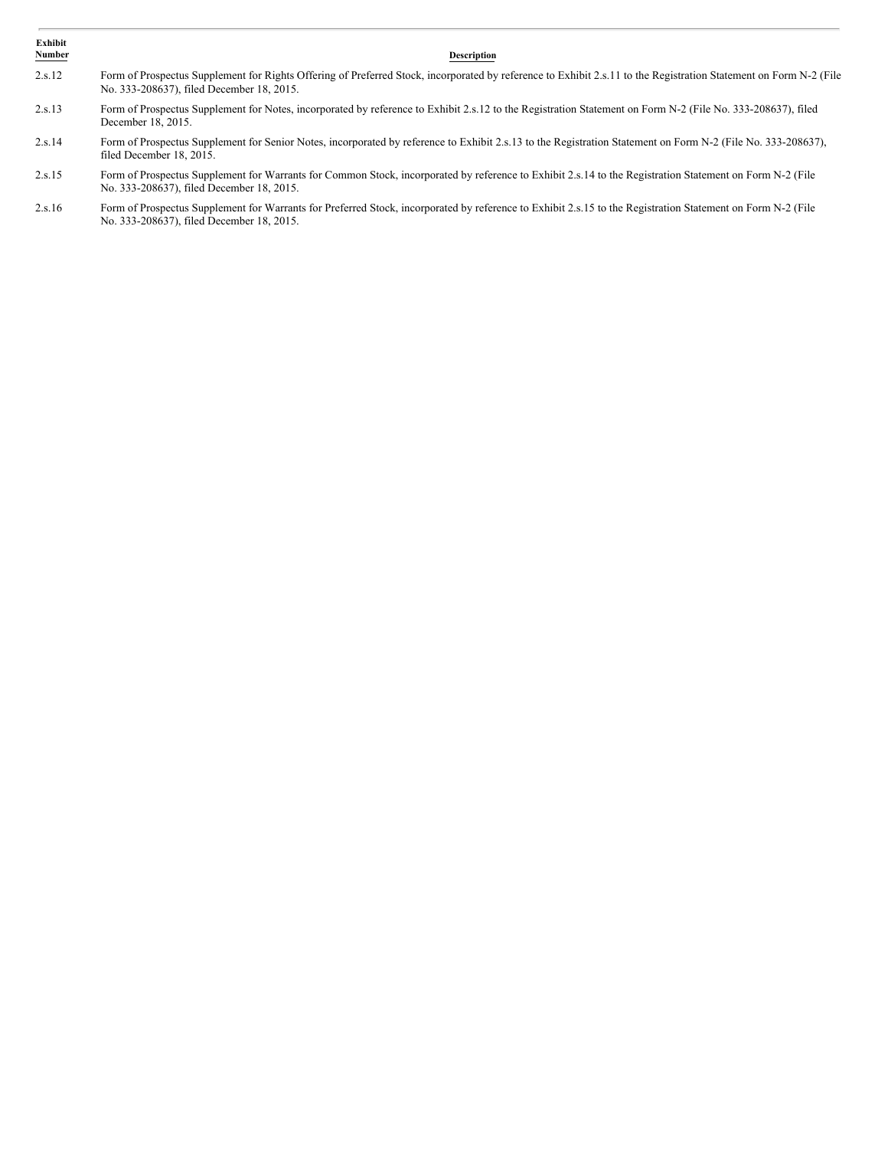| Exhibit<br>Number | <b>Description</b>                                                                                                                                                                                             |
|-------------------|----------------------------------------------------------------------------------------------------------------------------------------------------------------------------------------------------------------|
| 2.s.12            | Form of Prospectus Supplement for Rights Offering of Preferred Stock, incorporated by reference to Exhibit 2.s.11 to the Registration Statement on Form N-2 (File<br>No. 333-208637), filed December 18, 2015. |
| 2.s.13            | Form of Prospectus Supplement for Notes, incorporated by reference to Exhibit 2.s.12 to the Registration Statement on Form N-2 (File No. 333-208637), filed<br>December 18, 2015.                              |
| 2.s.14            | Form of Prospectus Supplement for Senior Notes, incorporated by reference to Exhibit 2.s.13 to the Registration Statement on Form N-2 (File No. 333-208637),<br>filed December 18, 2015.                       |
| 2.s.15            | Form of Prospectus Supplement for Warrants for Common Stock, incorporated by reference to Exhibit 2.s.14 to the Registration Statement on Form N-2 (File<br>No. 333-208637), filed December 18, 2015.          |
| 2.16              | $E_{\alpha m}$ of Dreapeatus Supplement for Warrants for Dreformal Steak, incorporated by reference to Exhibit 2.0.15 to the Decistration Statement on Earn N.2 (Eile                                          |

2.s.16 Form of Prospectus Supplement for Warrants for Preferred Stock, incorporated by reference to Exhibit 2.s.15 to the Registration Statement on Form N-2 (File No. 333-208637), filed December 18, 2015.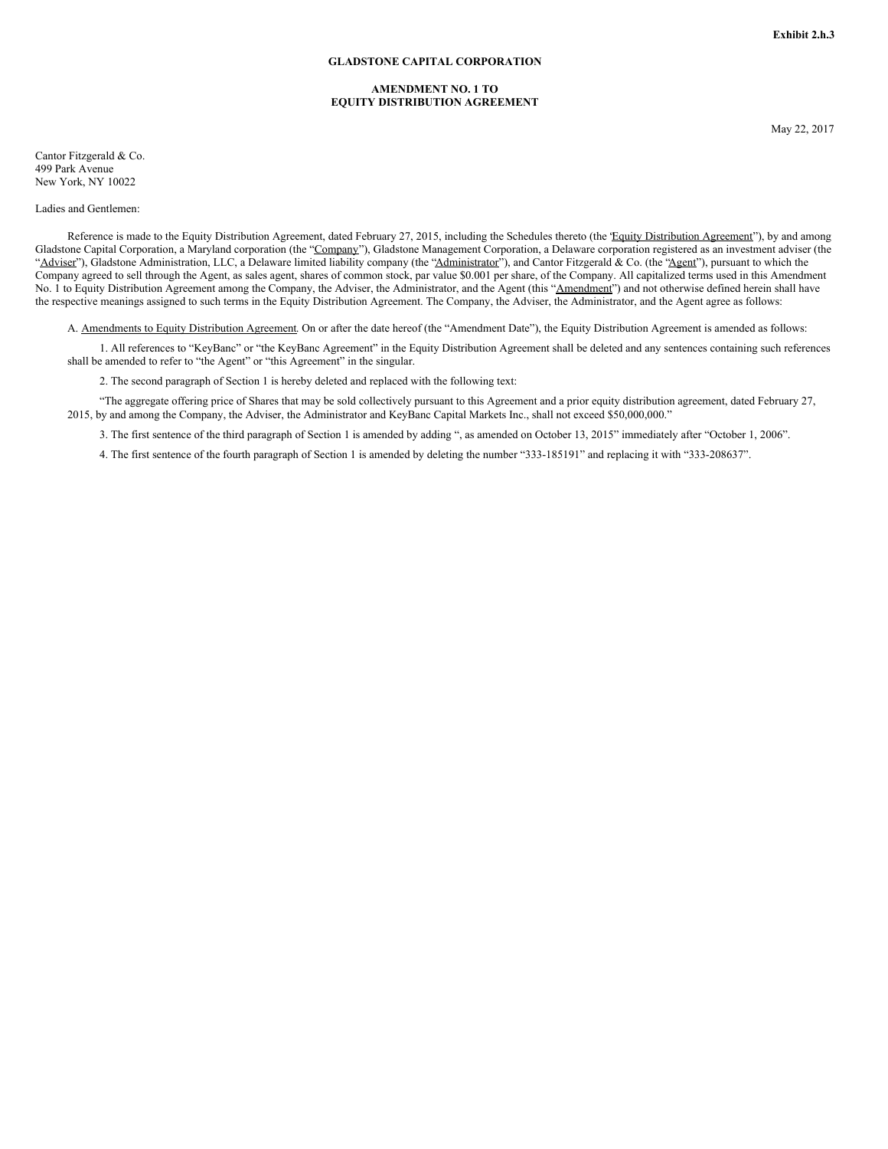#### **GLADSTONE CAPITAL CORPORATION**

#### **AMENDMENT NO. 1 TO EQUITY DISTRIBUTION AGREEMENT**

May 22, 2017

Cantor Fitzgerald & Co. 499 Park Avenue New York, NY 10022

#### Ladies and Gentlemen:

Reference is made to the Equity Distribution Agreement, dated February 27, 2015, including the Schedules thereto (the 'Equity Distribution Agreement'), by and among Gladstone Capital Corporation, a Maryland corporation (the "Company"), Gladstone Management Corporation, a Delaware corporation registered as an investment adviser (the "Adviser"), Gladstone Administration, LLC, a Delaware limited liability company (the "Administrator"), and Cantor Fitzgerald & Co. (the "Agent"), pursuant to which the Company agreed to sell through the Agent, as sales agent, shares of common stock, par value \$0.001 per share, of the Company. All capitalized terms used in this Amendment No. 1 to Equity Distribution Agreement among the Company, the Adviser, the Administrator, and the Agent (this "Amendment") and not otherwise defined herein shall have the respective meanings assigned to such terms in the Equity Distribution Agreement. The Company, the Adviser, the Administrator, and the Agent agree as follows:

A. Amendments to Equity Distribution Agreement. On or after the date hereof (the "Amendment Date"), the Equity Distribution Agreement is amended as follows:

1. All references to "KeyBanc" or "the KeyBanc Agreement" in the Equity Distribution Agreement shall be deleted and any sentences containing such references shall be amended to refer to "the Agent" or "this Agreement" in the singular.

2. The second paragraph of Section 1 is hereby deleted and replaced with the following text:

"The aggregate offering price of Shares that may be sold collectively pursuant to this Agreement and a prior equity distribution agreement, dated February 27, 2015, by and among the Company, the Adviser, the Administrator and KeyBanc Capital Markets Inc., shall not exceed \$50,000,000."

3. The first sentence of the third paragraph of Section 1 is amended by adding ", as amended on October 13, 2015" immediately after "October 1, 2006".

4. The first sentence of the fourth paragraph of Section 1 is amended by deleting the number "333-185191" and replacing it with "333-208637".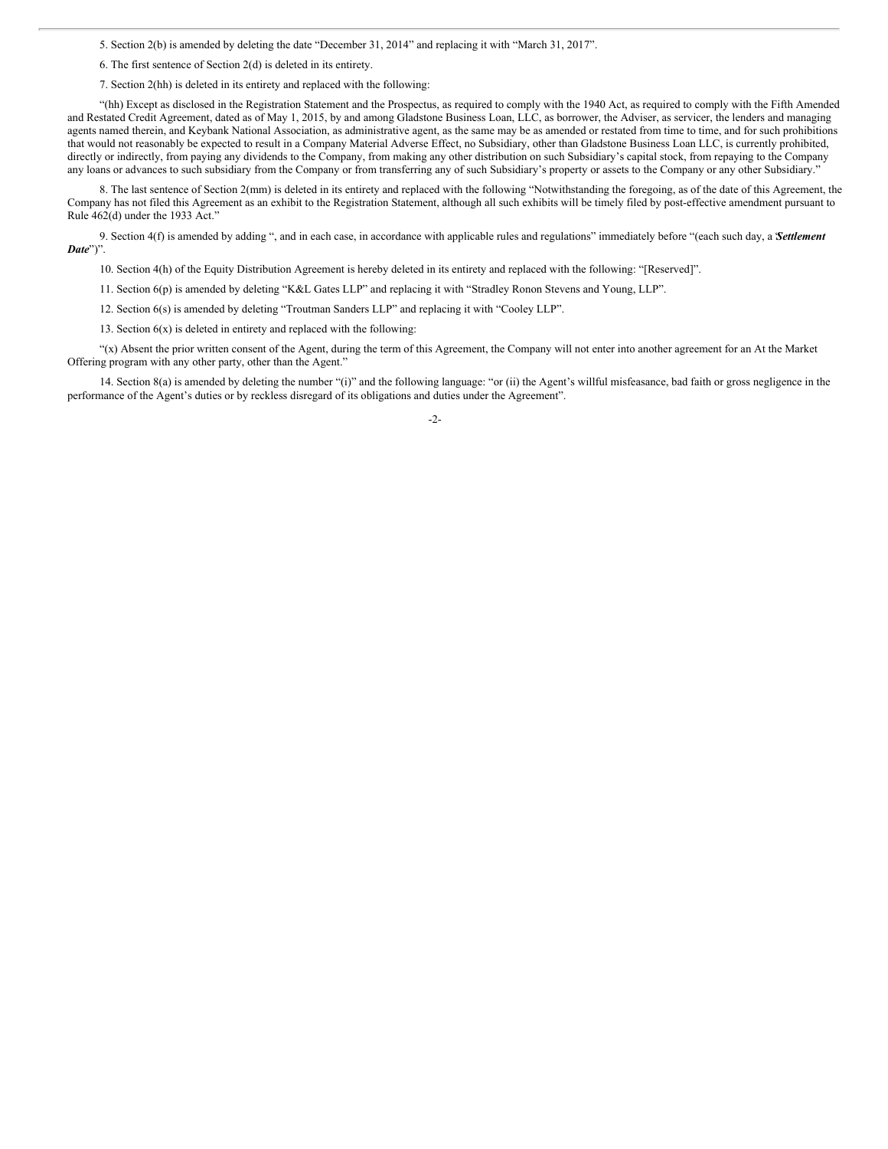5. Section 2(b) is amended by deleting the date "December 31, 2014" and replacing it with "March 31, 2017".

6. The first sentence of Section 2(d) is deleted in its entirety.

7. Section 2(hh) is deleted in its entirety and replaced with the following:

"(hh) Except as disclosed in the Registration Statement and the Prospectus, as required to comply with the 1940 Act, as required to comply with the Fifth Amended and Restated Credit Agreement, dated as of May 1, 2015, by and among Gladstone Business Loan, LLC, as borrower, the Adviser, as servicer, the lenders and managing agents named therein, and Keybank National Association, as administrative agent, as the same may be as amended or restated from time to time, and for such prohibitions that would not reasonably be expected to result in a Company Material Adverse Effect, no Subsidiary, other than Gladstone Business Loan LLC, is currently prohibited, directly or indirectly, from paying any dividends to the Company, from making any other distribution on such Subsidiary's capital stock, from repaying to the Company any loans or advances to such subsidiary from the Company or from transferring any of such Subsidiary's property or assets to the Company or any other Subsidiary."

8. The last sentence of Section 2(mm) is deleted in its entirety and replaced with the following "Notwithstanding the foregoing, as of the date of this Agreement, the Company has not filed this Agreement as an exhibit to the Registration Statement, although all such exhibits will be timely filed by post-effective amendment pursuant to Rule 462(d) under the 1933 Act."

9. Section 4(f) is amended by adding ", and in each case, in accordance with applicable rules and regulations" immediately before "(each such day, a "*Settlement Date*")".

10. Section 4(h) of the Equity Distribution Agreement is hereby deleted in its entirety and replaced with the following: "[Reserved]".

11. Section 6(p) is amended by deleting "K&L Gates LLP" and replacing it with "Stradley Ronon Stevens and Young, LLP".

12. Section 6(s) is amended by deleting "Troutman Sanders LLP" and replacing it with "Cooley LLP".

13. Section 6(x) is deleted in entirety and replaced with the following:

"(x) Absent the prior written consent of the Agent, during the term of this Agreement, the Company will not enter into another agreement for an At the Market Offering program with any other party, other than the Agent."

14. Section 8(a) is amended by deleting the number "(i)" and the following language: "or (ii) the Agent's willful misfeasance, bad faith or gross negligence in the performance of the Agent's duties or by reckless disregard of its obligations and duties under the Agreement".

-2-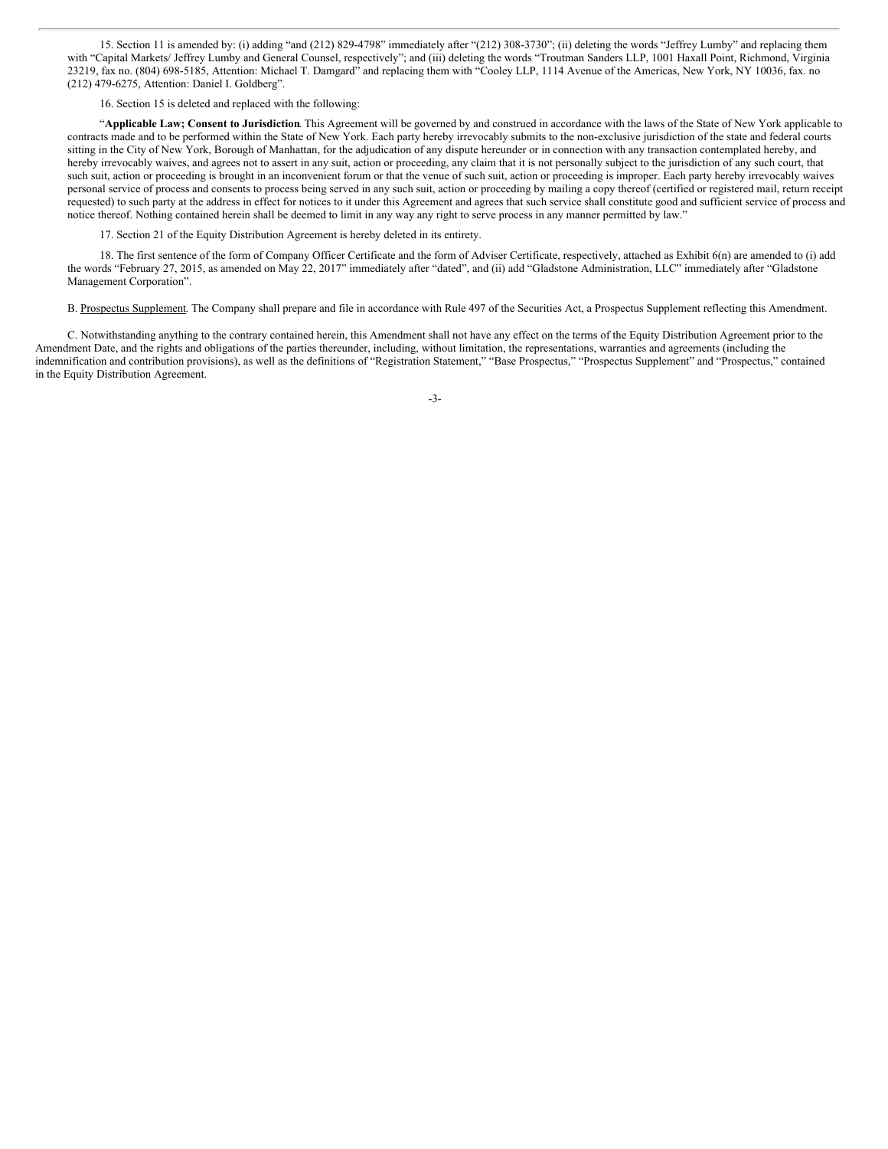15. Section 11 is amended by: (i) adding "and (212) 829-4798" immediately after "(212) 308-3730"; (ii) deleting the words "Jeffrey Lumby" and replacing them with "Capital Markets/ Jeffrey Lumby and General Counsel, respectively"; and (iii) deleting the words "Troutman Sanders LLP, 1001 Haxall Point, Richmond, Virginia 23219, fax no. (804) 698-5185, Attention: Michael T. Damgard" and replacing them with "Cooley LLP, 1114 Avenue of the Americas, New York, NY 10036, fax. no (212) 479-6275, Attention: Daniel I. Goldberg".

16. Section 15 is deleted and replaced with the following:

"**Applicable Law; Consent to Jurisdiction**. This Agreement will be governed by and construed in accordance with the laws of the State of New York applicable to contracts made and to be performed within the State of New York. Each party hereby irrevocably submits to the non-exclusive jurisdiction of the state and federal courts sitting in the City of New York, Borough of Manhattan, for the adjudication of any dispute hereunder or in connection with any transaction contemplated hereby, and hereby irrevocably waives, and agrees not to assert in any suit, action or proceeding, any claim that it is not personally subject to the jurisdiction of any such court, that such suit, action or proceeding is brought in an inconvenient forum or that the venue of such suit, action or proceeding is improper. Each party hereby irrevocably waives personal service of process and consents to process being served in any such suit, action or proceeding by mailing a copy thereof (certified or registered mail, return receipt requested) to such party at the address in effect for notices to it under this Agreement and agrees that such service shall constitute good and sufficient service of process and notice thereof. Nothing contained herein shall be deemed to limit in any way any right to serve process in any manner permitted by law."

17. Section 21 of the Equity Distribution Agreement is hereby deleted in its entirety.

18. The first sentence of the form of Company Officer Certificate and the form of Adviser Certificate, respectively, attached as Exhibit 6(n) are amended to (i) add the words "February 27, 2015, as amended on May 22, 2017" immediately after "dated", and (ii) add "Gladstone Administration, LLC" immediately after "Gladstone Management Corporation".

B. Prospectus Supplement. The Company shall prepare and file in accordance with Rule 497 of the Securities Act, a Prospectus Supplement reflecting this Amendment.

C. Notwithstanding anything to the contrary contained herein, this Amendment shall not have any effect on the terms of the Equity Distribution Agreement prior to the Amendment Date, and the rights and obligations of the parties thereunder, including, without limitation, the representations, warranties and agreements (including the indemnification and contribution provisions), as well as the definitions of "Registration Statement," "Base Prospectus," "Prospectus Supplement" and "Prospectus," contained in the Equity Distribution Agreement.

-3-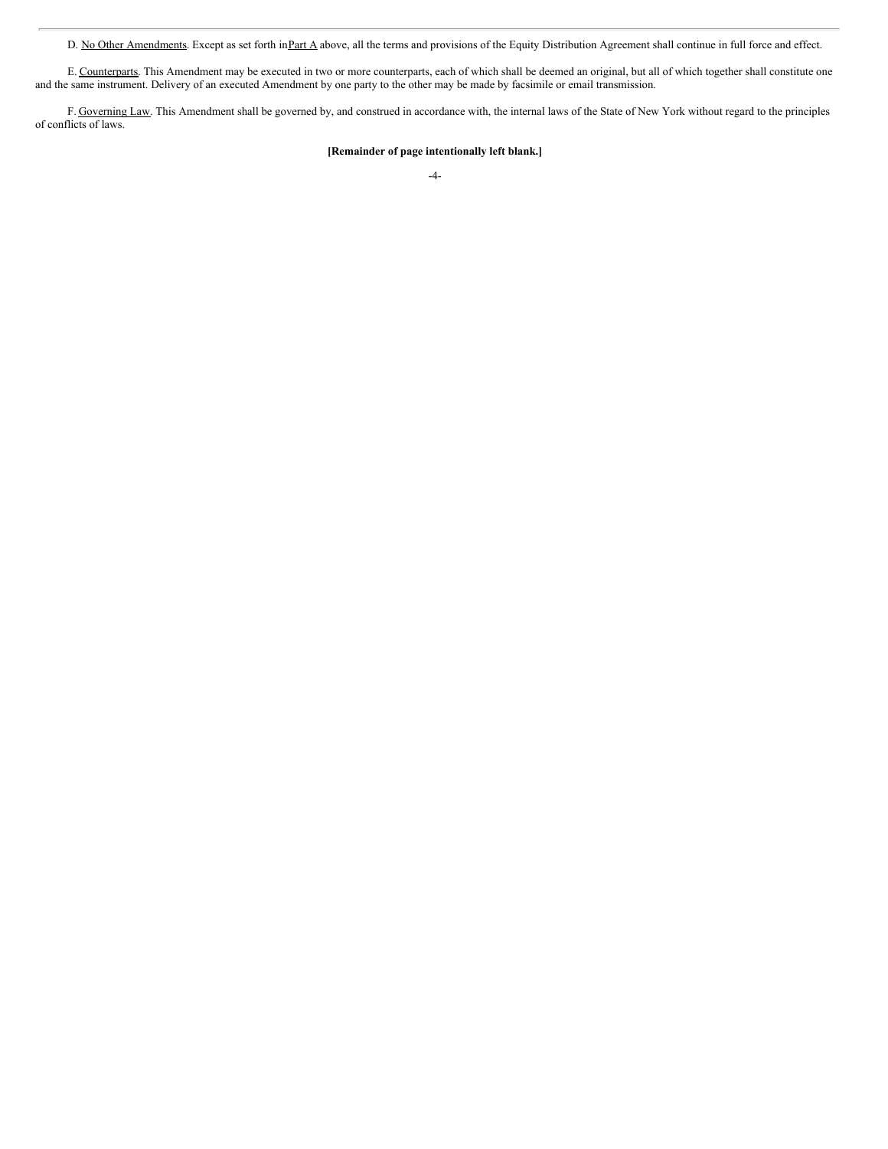D. No Other Amendments. Except as set forth in Part A above, all the terms and provisions of the Equity Distribution Agreement shall continue in full force and effect.

E. Counterparts. This Amendment may be executed in two or more counterparts, each of which shall be deemed an original, but all of which together shall constitute one and the same instrument. Delivery of an executed Amendment by one party to the other may be made by facsimile or email transmission.

F. Governing Law. This Amendment shall be governed by, and construed in accordance with, the internal laws of the State of New York without regard to the principles of conflicts of laws.

## **[Remainder of page intentionally left blank.]**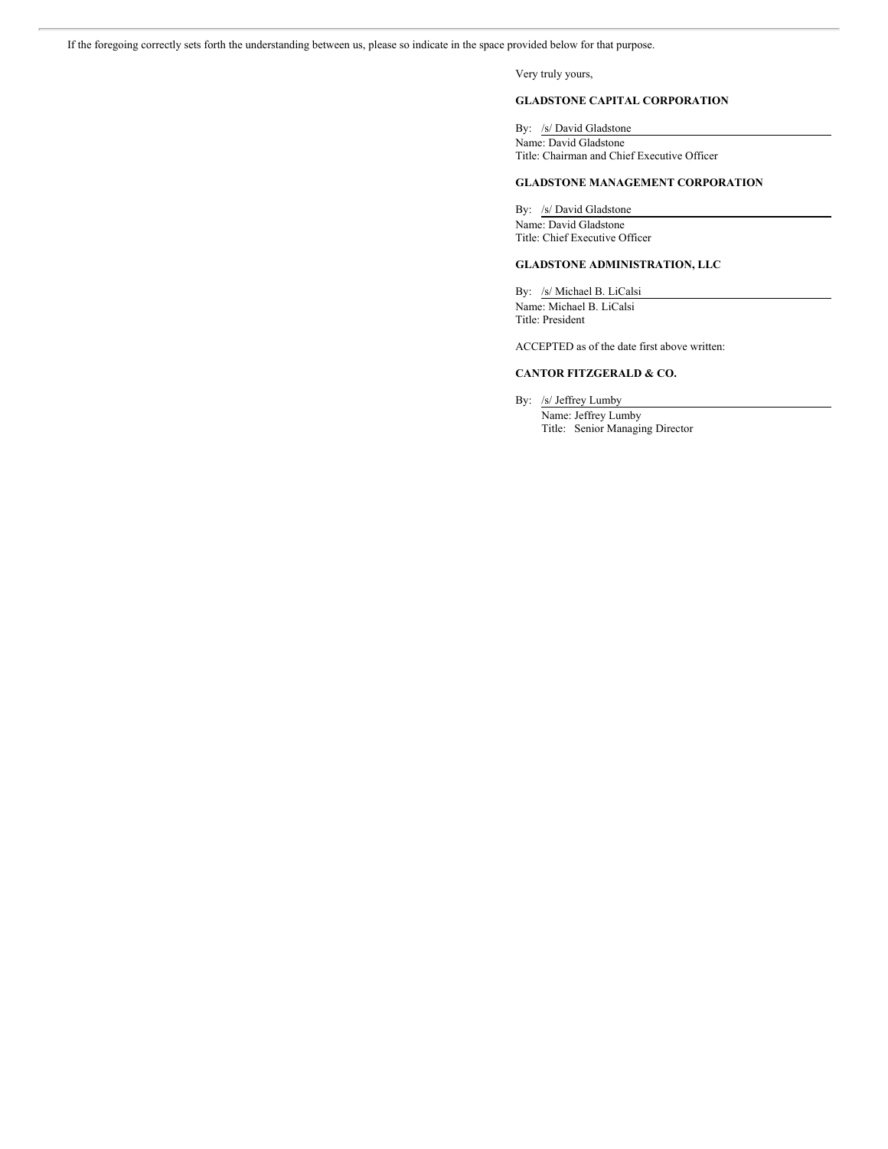If the foregoing correctly sets forth the understanding between us, please so indicate in the space provided below for that purpose.

Very truly yours,

## **GLADSTONE CAPITAL CORPORATION**

By: /s/ David Gladstone

Name: David Gladstone Title: Chairman and Chief Executive Officer

## **GLADSTONE MANAGEMENT CORPORATION**

By: /s/ David Gladstone Name: David Gladstone Title: Chief Executive Officer

## **GLADSTONE ADMINISTRATION, LLC**

By: /s/ Michael B. LiCalsi Name: Michael B. LiCalsi Title: President

ACCEPTED as of the date first above written:

## **CANTOR FITZGERALD & CO.**

By: /s/ Jeffrey Lumby Name: Jeffrey Lumby Title: Senior Managing Director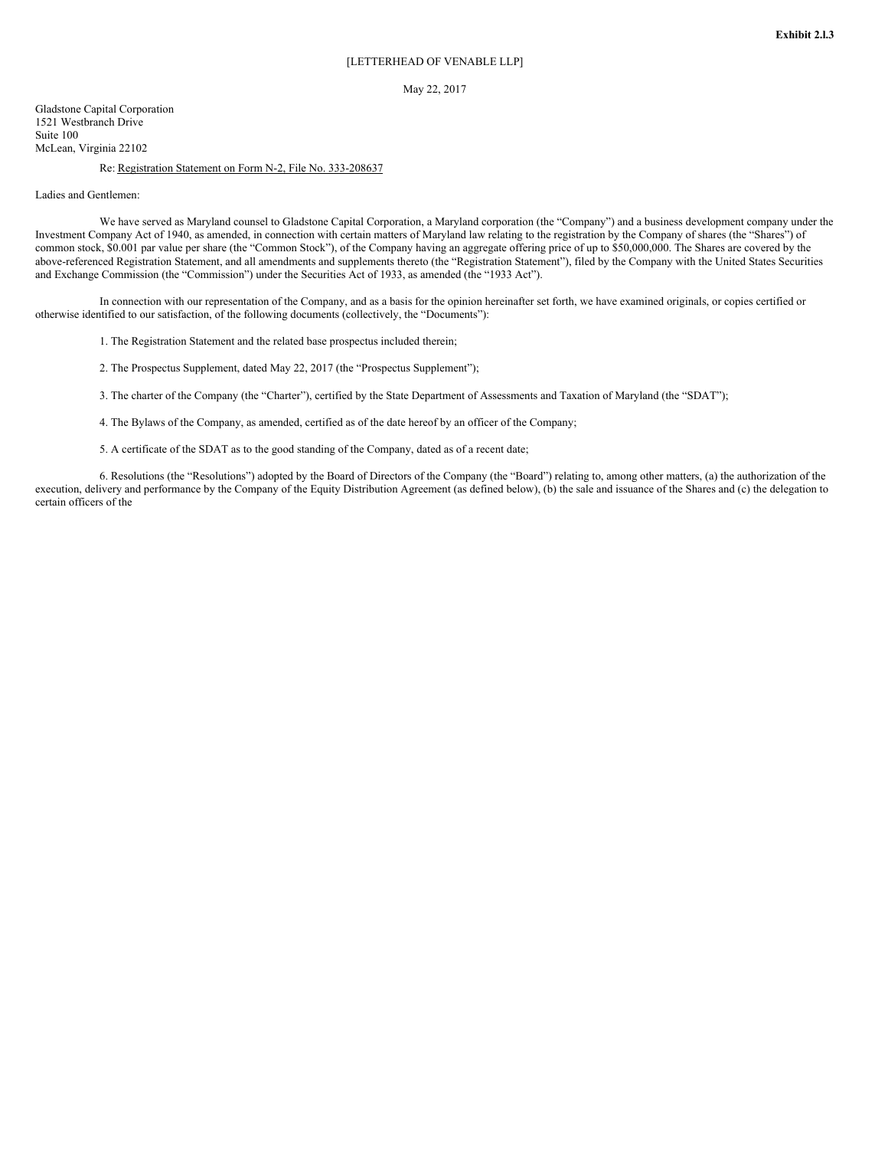## May 22, 2017

Gladstone Capital Corporation 1521 Westbranch Drive Suite 100 McLean, Virginia 22102

## Re: Registration Statement on Form N-2, File No. 333-208637

Ladies and Gentlemen:

We have served as Maryland counsel to Gladstone Capital Corporation, a Maryland corporation (the "Company") and a business development company under the Investment Company Act of 1940, as amended, in connection with certain matters of Maryland law relating to the registration by the Company of shares (the "Shares") of common stock, \$0.001 par value per share (the "Common Stock"), of the Company having an aggregate offering price of up to \$50,000,000. The Shares are covered by the above-referenced Registration Statement, and all amendments and supplements thereto (the "Registration Statement"), filed by the Company with the United States Securities and Exchange Commission (the "Commission") under the Securities Act of 1933, as amended (the "1933 Act").

In connection with our representation of the Company, and as a basis for the opinion hereinafter set forth, we have examined originals, or copies certified or otherwise identified to our satisfaction, of the following documents (collectively, the "Documents"):

1. The Registration Statement and the related base prospectus included therein;

2. The Prospectus Supplement, dated May 22, 2017 (the "Prospectus Supplement");

3. The charter of the Company (the "Charter"), certified by the State Department of Assessments and Taxation of Maryland (the "SDAT");

4. The Bylaws of the Company, as amended, certified as of the date hereof by an officer of the Company;

5. A certificate of the SDAT as to the good standing of the Company, dated as of a recent date;

6. Resolutions (the "Resolutions") adopted by the Board of Directors of the Company (the "Board") relating to, among other matters, (a) the authorization of the execution, delivery and performance by the Company of the Equity Distribution Agreement (as defined below), (b) the sale and issuance of the Shares and (c) the delegation to certain officers of the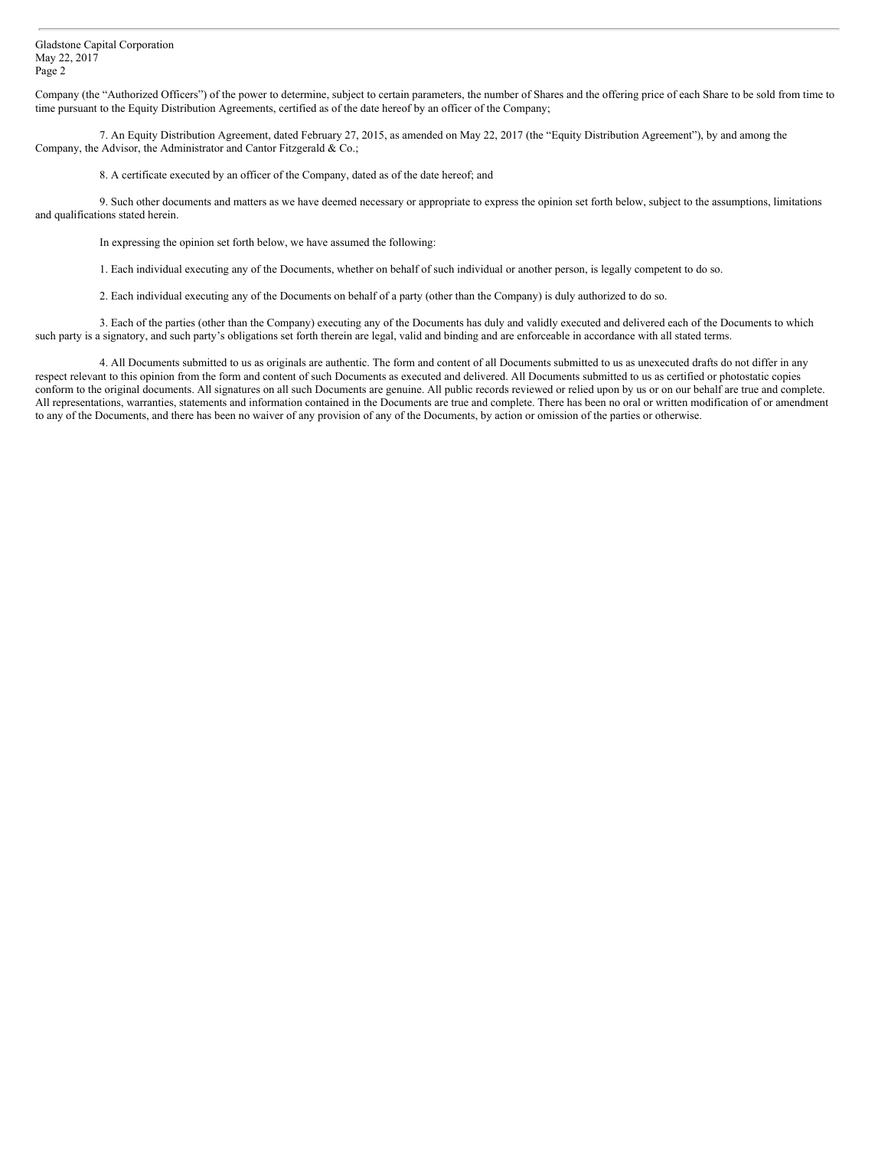Company (the "Authorized Officers") of the power to determine, subject to certain parameters, the number of Shares and the offering price of each Share to be sold from time to time pursuant to the Equity Distribution Agreements, certified as of the date hereof by an officer of the Company;

7. An Equity Distribution Agreement, dated February 27, 2015, as amended on May 22, 2017 (the "Equity Distribution Agreement"), by and among the Company, the Advisor, the Administrator and Cantor Fitzgerald & Co.;

8. A certificate executed by an officer of the Company, dated as of the date hereof; and

9. Such other documents and matters as we have deemed necessary or appropriate to express the opinion set forth below, subject to the assumptions, limitations and qualifications stated herein.

In expressing the opinion set forth below, we have assumed the following:

1. Each individual executing any of the Documents, whether on behalf of such individual or another person, is legally competent to do so.

2. Each individual executing any of the Documents on behalf of a party (other than the Company) is duly authorized to do so.

3. Each of the parties (other than the Company) executing any of the Documents has duly and validly executed and delivered each of the Documents to which such party is a signatory, and such party's obligations set forth therein are legal, valid and binding and are enforceable in accordance with all stated terms.

4. All Documents submitted to us as originals are authentic. The form and content of all Documents submitted to us as unexecuted drafts do not differ in any respect relevant to this opinion from the form and content of such Documents as executed and delivered. All Documents submitted to us as certified or photostatic copies conform to the original documents. All signatures on all such Documents are genuine. All public records reviewed or relied upon by us or on our behalf are true and complete. All representations, warranties, statements and information contained in the Documents are true and complete. There has been no oral or written modification of or amendment to any of the Documents, and there has been no waiver of any provision of any of the Documents, by action or omission of the parties or otherwise.